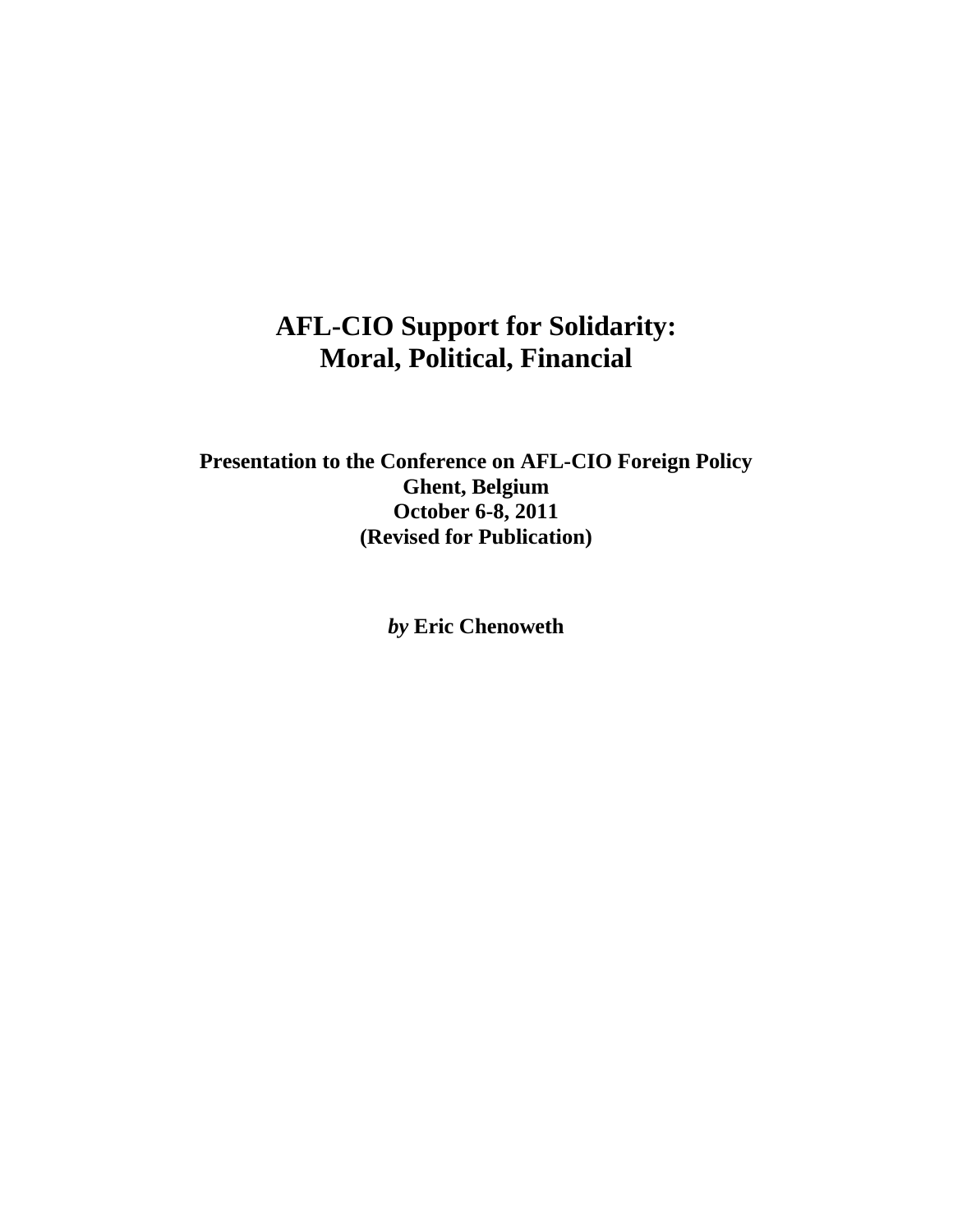## **AFL-CIO Support for Solidarity: Moral, Political, Financial**

**Presentation to the Conference on AFL-CIO Foreign Policy Ghent, Belgium October 6-8, 2011 (Revised for Publication)** 

*by* **Eric Chenoweth**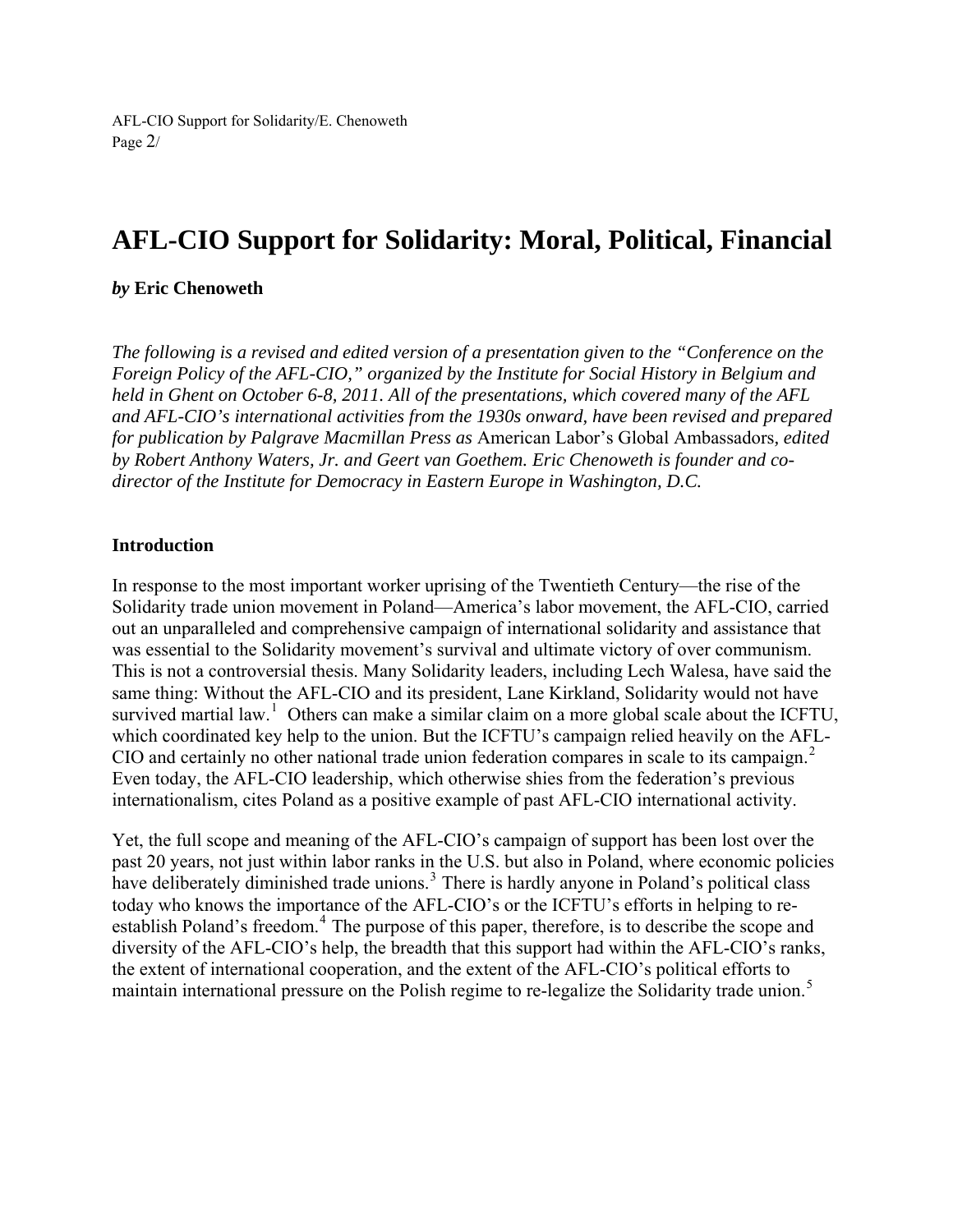# **AFL-CIO Support for Solidarity: Moral, Political, Financial**

#### *by* **Eric Chenoweth**

*The following is a revised and edited version of a presentation given to the "Conference on the Foreign Policy of the AFL-CIO," organized by the Institute for Social History in Belgium and held in Ghent on October 6-8, 2011. All of the presentations, which covered many of the AFL and AFL-CIO's international activities from the 1930s onward, have been revised and prepared for publication by Palgrave Macmillan Press as* American Labor's Global Ambassadors*, edited by Robert Anthony Waters, Jr. and Geert van Goethem. Eric Chenoweth is founder and codirector of the Institute for Democracy in Eastern Europe in Washington, D.C.* 

#### **Introduction**

In response to the most important worker uprising of the Twentieth Century—the rise of the Solidarity trade union movement in Poland—America's labor movement, the AFL-CIO, carried out an unparalleled and comprehensive campaign of international solidarity and assistance that was essential to the Solidarity movement's survival and ultimate victory of over communism. This is not a controversial thesis. Many Solidarity leaders, including Lech Walesa, have said the same thing: Without the AFL-CIO and its president, Lane Kirkland, Solidarity would not have survived martial law.<sup>[1](#page-20-0)</sup> Others can make a similar claim on a more global scale about the ICFTU, which coordinated key help to the union. But the ICFTU's campaign relied heavily on the AFL-CIO and certainly no other national trade union federation compares in scale to its campaign.<sup>[2](#page-20-1)</sup> Even today, the AFL-CIO leadership, which otherwise shies from the federation's previous internationalism, cites Poland as a positive example of past AFL-CIO international activity.

Yet, the full scope and meaning of the AFL-CIO's campaign of support has been lost over the past 20 years, not just within labor ranks in the U.S. but also in Poland, where economic policies have deliberately diminished trade unions.<sup>[3](#page-20-1)</sup> There is hardly anyone in Poland's political class today who knows the importance of the AFL-CIO's or the ICFTU's efforts in helping to re-establish Poland's freedom.<sup>[4](#page-20-1)</sup> The purpose of this paper, therefore, is to describe the scope and diversity of the AFL-CIO's help, the breadth that this support had within the AFL-CIO's ranks, the extent of international cooperation, and the extent of the AFL-CIO's political efforts to maintain international pressure on the Polish regime to re-legalize the Solidarity trade union.<sup>[5](#page-20-1)</sup>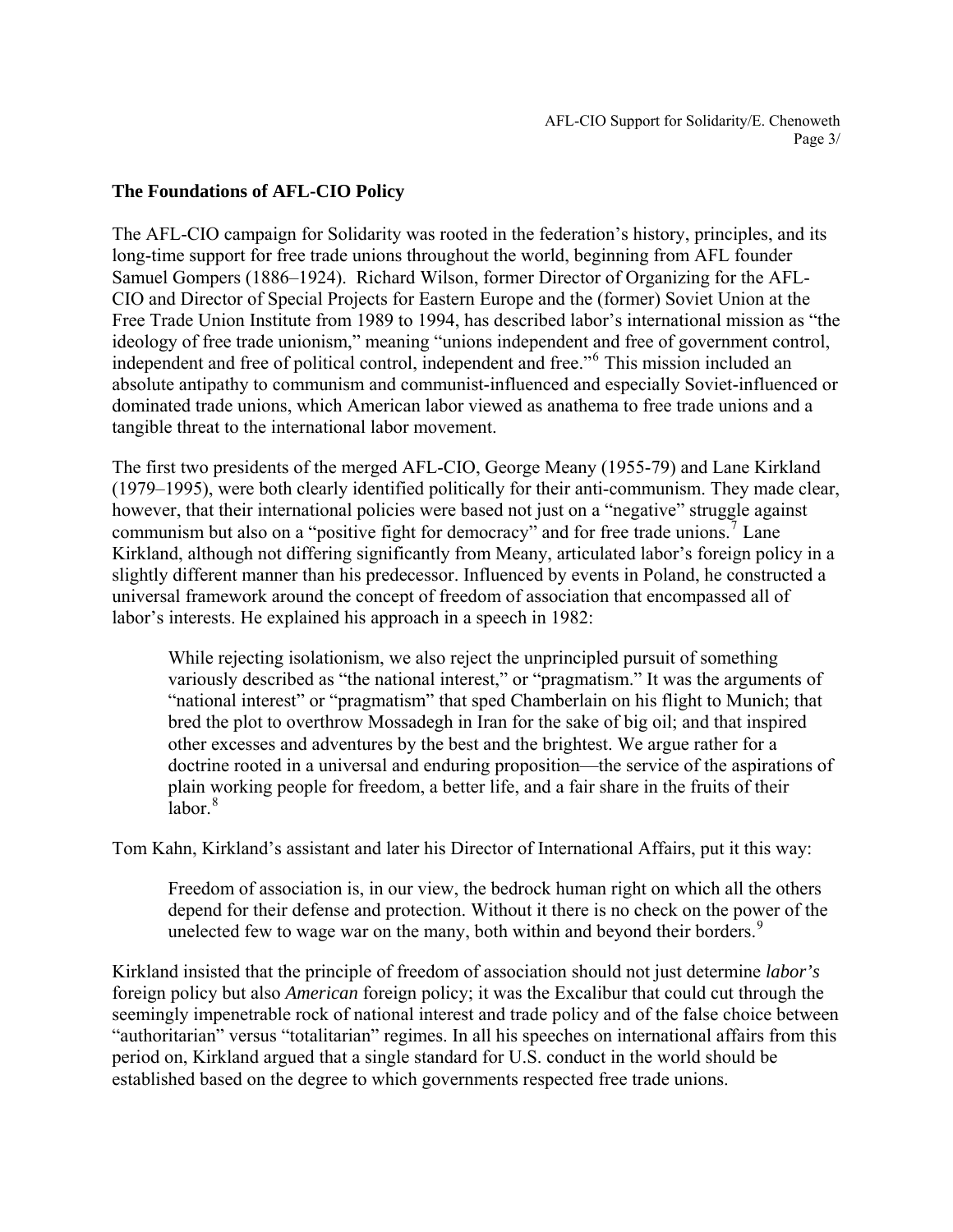AFL-CIO Support for Solidarity/E. Chenoweth Page 3/

#### **The Foundations of AFL-CIO Policy**

The AFL-CIO campaign for Solidarity was rooted in the federation's history, principles, and its long-time support for free trade unions throughout the world, beginning from AFL founder Samuel Gompers (1886–1924). Richard Wilson, former Director of Organizing for the AFL-CIO and Director of Special Projects for Eastern Europe and the (former) Soviet Union at the Free Trade Union Institute from 1989 to 1994, has described labor's international mission as "the ideology of free trade unionism," meaning "unions independent and free of government control, independent and free of political control, independent and free."[6](#page-20-1) This mission included an absolute antipathy to communism and communist-influenced and especially Soviet-influenced or dominated trade unions, which American labor viewed as anathema to free trade unions and a tangible threat to the international labor movement.

The first two presidents of the merged AFL-CIO, George Meany (1955-79) and Lane Kirkland (1979–1995), were both clearly identified politically for their anti-communism. They made clear, however, that their international policies were based not just on a "negative" struggle against communism but also on a "positive fight for democracy" and for free trade unions.<sup>[7](#page-20-1)</sup> Lane Kirkland, although not differing significantly from Meany, articulated labor's foreign policy in a slightly different manner than his predecessor. Influenced by events in Poland, he constructed a universal framework around the concept of freedom of association that encompassed all of labor's interests. He explained his approach in a speech in 1982:

While rejecting isolationism, we also reject the unprincipled pursuit of something variously described as "the national interest," or "pragmatism." It was the arguments of "national interest" or "pragmatism" that sped Chamberlain on his flight to Munich; that bred the plot to overthrow Mossadegh in Iran for the sake of big oil; and that inspired other excesses and adventures by the best and the brightest. We argue rather for a doctrine rooted in a universal and enduring proposition—the service of the aspirations of plain working people for freedom, a better life, and a fair share in the fruits of their  $labor<sup>8</sup>$  $labor<sup>8</sup>$  $labor<sup>8</sup>$ 

Tom Kahn, Kirkland's assistant and later his Director of International Affairs, put it this way:

Freedom of association is, in our view, the bedrock human right on which all the others depend for their defense and protection. Without it there is no check on the power of the unelected few to wage war on the many, both within and beyond their borders.<sup>[9](#page-20-1)</sup>

Kirkland insisted that the principle of freedom of association should not just determine *labor's* foreign policy but also *American* foreign policy; it was the Excalibur that could cut through the seemingly impenetrable rock of national interest and trade policy and of the false choice between "authoritarian" versus "totalitarian" regimes. In all his speeches on international affairs from this period on, Kirkland argued that a single standard for U.S. conduct in the world should be established based on the degree to which governments respected free trade unions.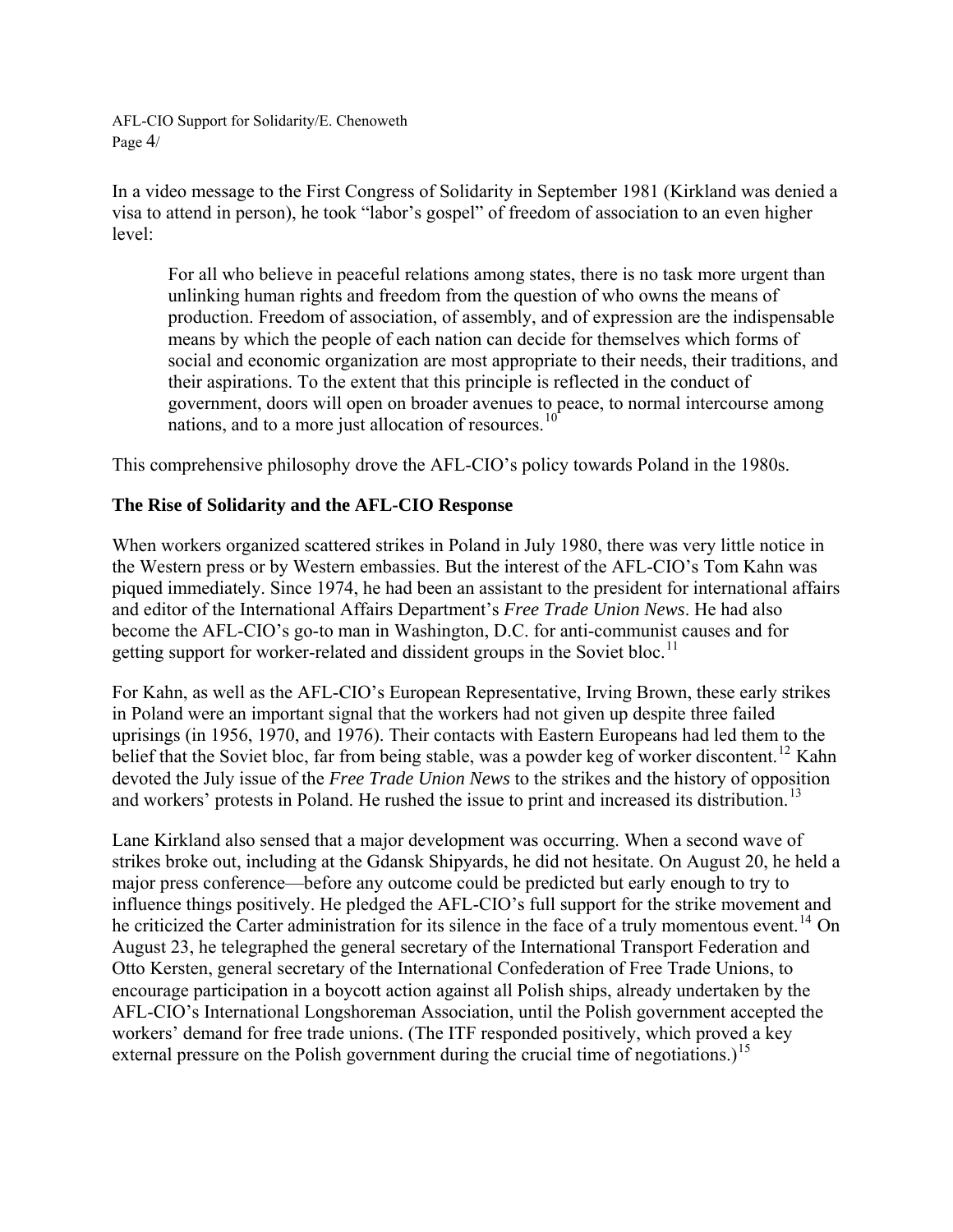AFL-CIO Support for Solidarity/E. Chenoweth Page 4/

In a video message to the First Congress of Solidarity in September 1981 (Kirkland was denied a visa to attend in person), he took "labor's gospel" of freedom of association to an even higher level:

For all who believe in peaceful relations among states, there is no task more urgent than unlinking human rights and freedom from the question of who owns the means of production. Freedom of association, of assembly, and of expression are the indispensable means by which the people of each nation can decide for themselves which forms of social and economic organization are most appropriate to their needs, their traditions, and their aspirations. To the extent that this principle is reflected in the conduct of government, doors will open on broader avenues to peace, to normal intercourse among nations, and to a more just allocation of resources.<sup>[10](#page-20-1)</sup>

This comprehensive philosophy drove the AFL-CIO's policy towards Poland in the 1980s.

## **The Rise of Solidarity and the AFL-CIO Response**

When workers organized scattered strikes in Poland in July 1980, there was very little notice in the Western press or by Western embassies. But the interest of the AFL-CIO's Tom Kahn was piqued immediately. Since 1974, he had been an assistant to the president for international affairs and editor of the International Affairs Department's *Free Trade Union News*. He had also become the AFL-CIO's go-to man in Washington, D.C. for anti-communist causes and for getting support for worker-related and dissident groups in the Soviet bloc.<sup>[11](#page-20-1)</sup>

For Kahn, as well as the AFL-CIO's European Representative, Irving Brown, these early strikes in Poland were an important signal that the workers had not given up despite three failed uprisings (in 1956, 1970, and 1976). Their contacts with Eastern Europeans had led them to the belief that the Soviet bloc, far from being stable, was a powder keg of worker discontent.<sup>[12](#page-20-1)</sup> Kahn devoted the July issue of the *Free Trade Union News* to the strikes and the history of opposition and workers' protests in Poland. He rushed the issue to print and increased its distribution.<sup>[13](#page-20-1)</sup>

Lane Kirkland also sensed that a major development was occurring. When a second wave of strikes broke out, including at the Gdansk Shipyards, he did not hesitate. On August 20, he held a major press conference—before any outcome could be predicted but early enough to try to influence things positively. He pledged the AFL-CIO's full support for the strike movement and he criticized the Carter administration for its silence in the face of a truly momentous event.<sup>[14](#page-20-1)</sup> On August 23, he telegraphed the general secretary of the International Transport Federation and Otto Kersten, general secretary of the International Confederation of Free Trade Unions, to encourage participation in a boycott action against all Polish ships, already undertaken by the AFL-CIO's International Longshoreman Association, until the Polish government accepted the workers' demand for free trade unions. (The ITF responded positively, which proved a key external pressure on the Polish government during the crucial time of negotiations.)<sup>[15](#page-20-1)</sup>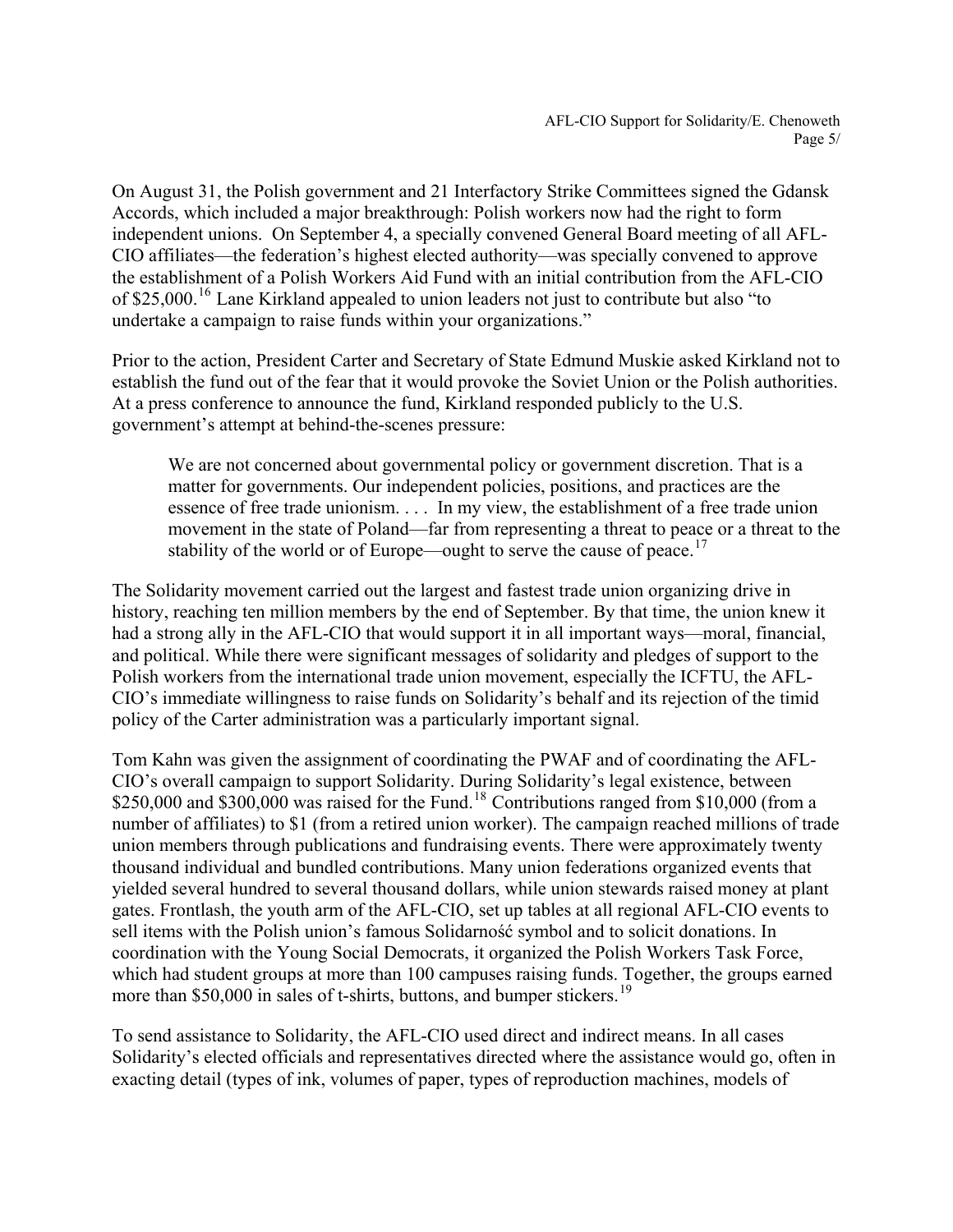On August 31, the Polish government and 21 Interfactory Strike Committees signed the Gdansk Accords, which included a major breakthrough: Polish workers now had the right to form independent unions. On September 4, a specially convened General Board meeting of all AFL-CIO affiliates—the federation's highest elected authority—was specially convened to approve the establishment of a Polish Workers Aid Fund with an initial contribution from the AFL-CIO of \$25,000.<sup>[16](#page-20-1)</sup> Lane Kirkland appealed to union leaders not just to contribute but also "to undertake a campaign to raise funds within your organizations."

Prior to the action, President Carter and Secretary of State Edmund Muskie asked Kirkland not to establish the fund out of the fear that it would provoke the Soviet Union or the Polish authorities. At a press conference to announce the fund, Kirkland responded publicly to the U.S. government's attempt at behind-the-scenes pressure:

We are not concerned about governmental policy or government discretion. That is a matter for governments. Our independent policies, positions, and practices are the essence of free trade unionism. . . . In my view, the establishment of a free trade union movement in the state of Poland—far from representing a threat to peace or a threat to the stability of the world or of Europe—ought to serve the cause of peace.<sup>[17](#page-20-1)</sup>

The Solidarity movement carried out the largest and fastest trade union organizing drive in history, reaching ten million members by the end of September. By that time, the union knew it had a strong ally in the AFL-CIO that would support it in all important ways—moral, financial, and political. While there were significant messages of solidarity and pledges of support to the Polish workers from the international trade union movement, especially the ICFTU, the AFL-CIO's immediate willingness to raise funds on Solidarity's behalf and its rejection of the timid policy of the Carter administration was a particularly important signal.

Tom Kahn was given the assignment of coordinating the PWAF and of coordinating the AFL-CIO's overall campaign to support Solidarity. During Solidarity's legal existence, between  $$250,000$  and  $$300,000$  was raised for the Fund.<sup>[18](#page-20-1)</sup> Contributions ranged from \$10,000 (from a number of affiliates) to \$1 (from a retired union worker). The campaign reached millions of trade union members through publications and fundraising events. There were approximately twenty thousand individual and bundled contributions. Many union federations organized events that yielded several hundred to several thousand dollars, while union stewards raised money at plant gates. Frontlash, the youth arm of the AFL-CIO, set up tables at all regional AFL-CIO events to sell items with the Polish union's famous Solidarność symbol and to solicit donations. In coordination with the Young Social Democrats, it organized the Polish Workers Task Force, which had student groups at more than 100 campuses raising funds. Together, the groups earned more than \$50,000 in sales of t-shirts, buttons, and bumper stickers.<sup>[19](#page-20-1)</sup>

To send assistance to Solidarity, the AFL-CIO used direct and indirect means. In all cases Solidarity's elected officials and representatives directed where the assistance would go, often in exacting detail (types of ink, volumes of paper, types of reproduction machines, models of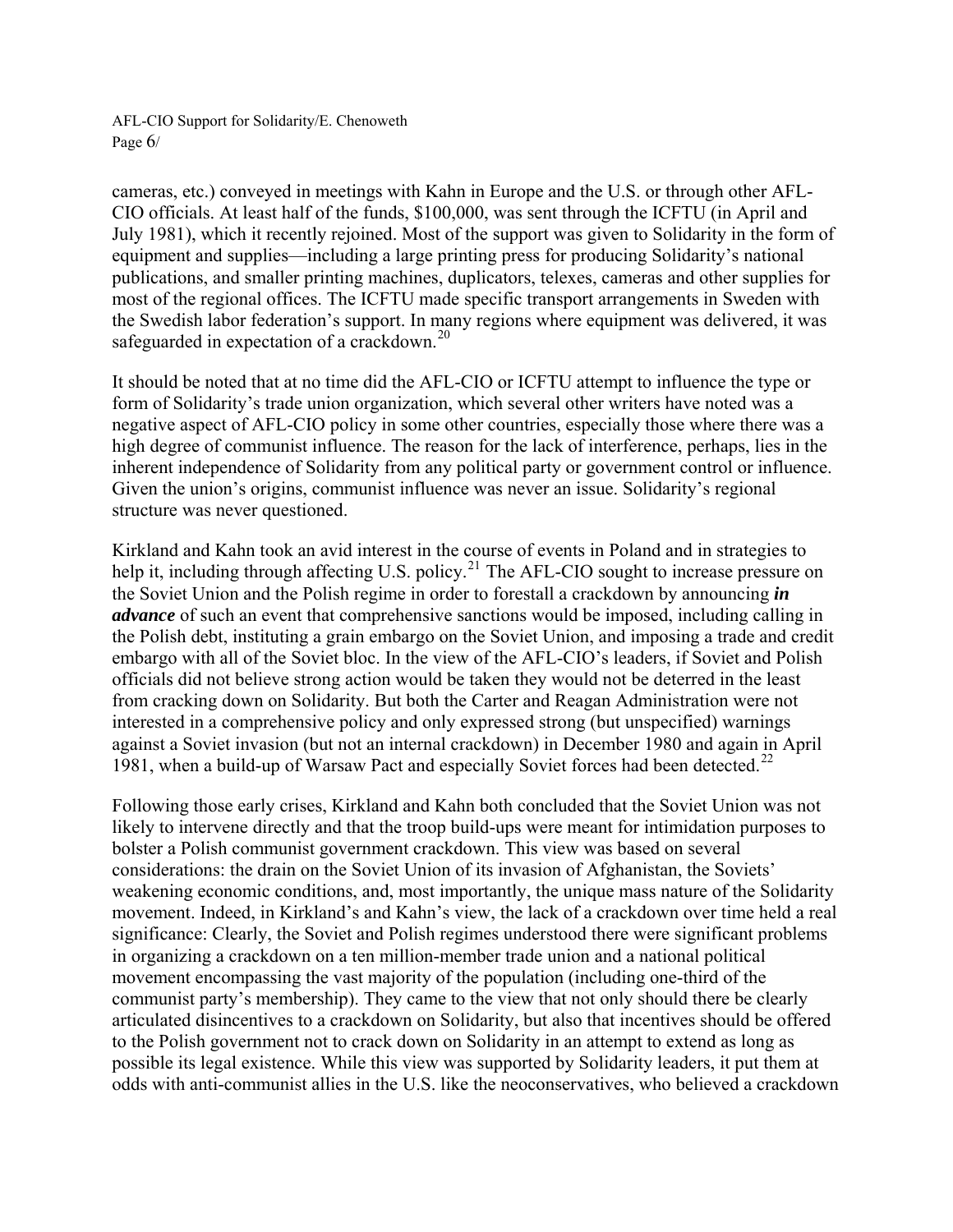AFL-CIO Support for Solidarity/E. Chenoweth Page 6/

cameras, etc.) conveyed in meetings with Kahn in Europe and the U.S. or through other AFL-CIO officials. At least half of the funds, \$100,000, was sent through the ICFTU (in April and July 1981), which it recently rejoined. Most of the support was given to Solidarity in the form of equipment and supplies—including a large printing press for producing Solidarity's national publications, and smaller printing machines, duplicators, telexes, cameras and other supplies for most of the regional offices. The ICFTU made specific transport arrangements in Sweden with the Swedish labor federation's support. In many regions where equipment was delivered, it was safeguarded in expectation of a crackdown.<sup>[20](#page-20-1)</sup>

It should be noted that at no time did the AFL-CIO or ICFTU attempt to influence the type or form of Solidarity's trade union organization, which several other writers have noted was a negative aspect of AFL-CIO policy in some other countries, especially those where there was a high degree of communist influence. The reason for the lack of interference, perhaps, lies in the inherent independence of Solidarity from any political party or government control or influence. Given the union's origins, communist influence was never an issue. Solidarity's regional structure was never questioned.

Kirkland and Kahn took an avid interest in the course of events in Poland and in strategies to help it, including through affecting U.S. policy.<sup>[21](#page-20-1)</sup> The AFL-CIO sought to increase pressure on the Soviet Union and the Polish regime in order to forestall a crackdown by announcing *in advance* of such an event that comprehensive sanctions would be imposed, including calling in the Polish debt, instituting a grain embargo on the Soviet Union, and imposing a trade and credit embargo with all of the Soviet bloc. In the view of the AFL-CIO's leaders, if Soviet and Polish officials did not believe strong action would be taken they would not be deterred in the least from cracking down on Solidarity. But both the Carter and Reagan Administration were not interested in a comprehensive policy and only expressed strong (but unspecified) warnings against a Soviet invasion (but not an internal crackdown) in December 1980 and again in April 1981, when a build-up of Warsaw Pact and especially Soviet forces had been detected.<sup>[22](#page-20-1)</sup>

Following those early crises, Kirkland and Kahn both concluded that the Soviet Union was not likely to intervene directly and that the troop build-ups were meant for intimidation purposes to bolster a Polish communist government crackdown. This view was based on several considerations: the drain on the Soviet Union of its invasion of Afghanistan, the Soviets' weakening economic conditions, and, most importantly, the unique mass nature of the Solidarity movement. Indeed, in Kirkland's and Kahn's view, the lack of a crackdown over time held a real significance: Clearly, the Soviet and Polish regimes understood there were significant problems in organizing a crackdown on a ten million-member trade union and a national political movement encompassing the vast majority of the population (including one-third of the communist party's membership). They came to the view that not only should there be clearly articulated disincentives to a crackdown on Solidarity, but also that incentives should be offered to the Polish government not to crack down on Solidarity in an attempt to extend as long as possible its legal existence. While this view was supported by Solidarity leaders, it put them at odds with anti-communist allies in the U.S. like the neoconservatives, who believed a crackdown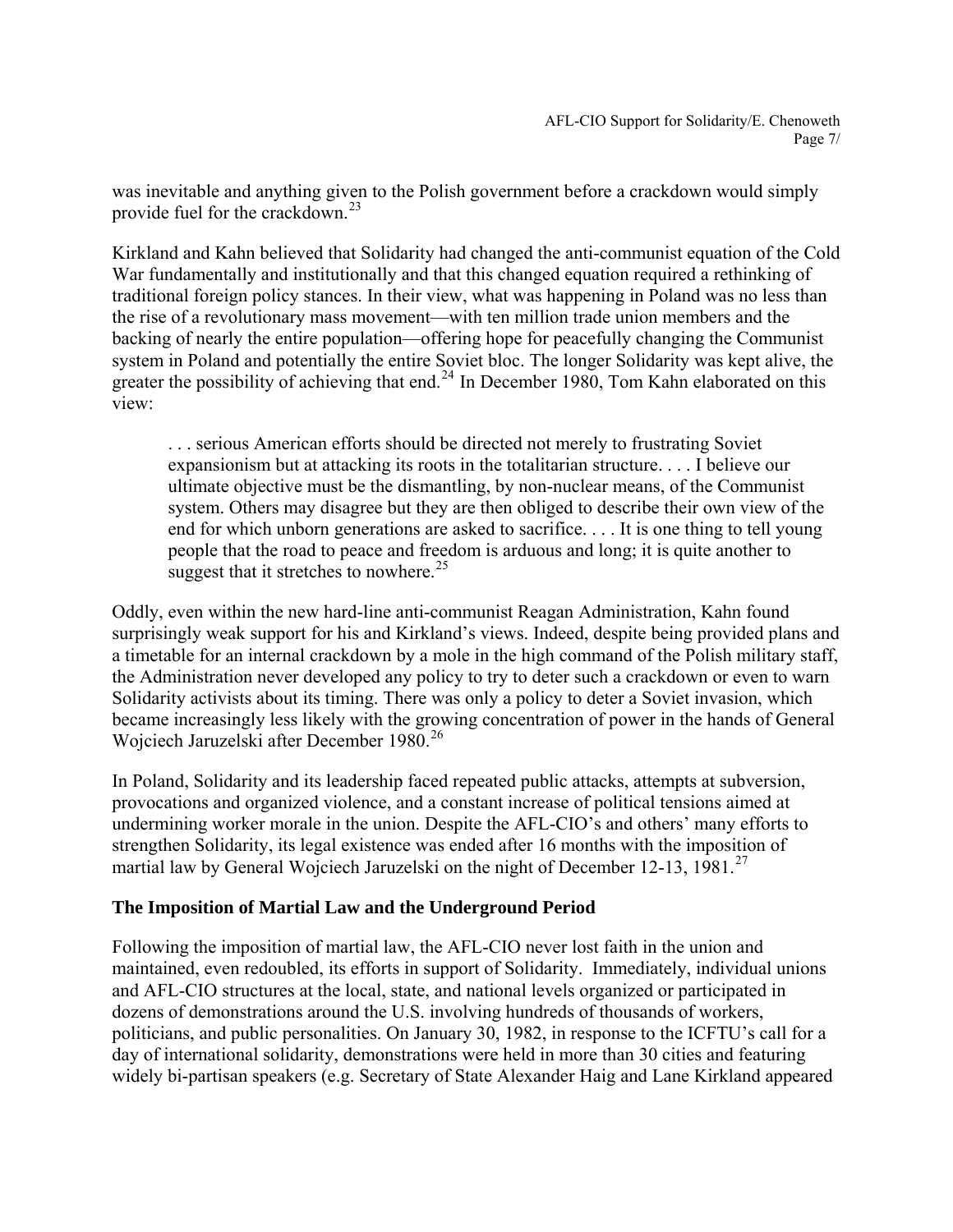was inevitable and anything given to the Polish government before a crackdown would simply provide fuel for the crackdown.<sup>[23](#page-20-1)</sup>

Kirkland and Kahn believed that Solidarity had changed the anti-communist equation of the Cold War fundamentally and institutionally and that this changed equation required a rethinking of traditional foreign policy stances. In their view, what was happening in Poland was no less than the rise of a revolutionary mass movement—with ten million trade union members and the backing of nearly the entire population—offering hope for peacefully changing the Communist system in Poland and potentially the entire Soviet bloc. The longer Solidarity was kept alive, the greater the possibility of achieving that end.<sup>[24](#page-20-1)</sup> In December 1980, Tom Kahn elaborated on this view:

. . . serious American efforts should be directed not merely to frustrating Soviet expansionism but at attacking its roots in the totalitarian structure. . . . I believe our ultimate objective must be the dismantling, by non-nuclear means, of the Communist system. Others may disagree but they are then obliged to describe their own view of the end for which unborn generations are asked to sacrifice. . . . It is one thing to tell young people that the road to peace and freedom is arduous and long; it is quite another to suggest that it stretches to nowhere.<sup>[25](#page-20-1)</sup>

Oddly, even within the new hard-line anti-communist Reagan Administration, Kahn found surprisingly weak support for his and Kirkland's views. Indeed, despite being provided plans and a timetable for an internal crackdown by a mole in the high command of the Polish military staff, the Administration never developed any policy to try to deter such a crackdown or even to warn Solidarity activists about its timing. There was only a policy to deter a Soviet invasion, which became increasingly less likely with the growing concentration of power in the hands of General Wojciech Jaruzelski after December 1980.<sup>[26](#page-20-1)</sup>

In Poland, Solidarity and its leadership faced repeated public attacks, attempts at subversion, provocations and organized violence, and a constant increase of political tensions aimed at undermining worker morale in the union. Despite the AFL-CIO's and others' many efforts to strengthen Solidarity, its legal existence was ended after 16 months with the imposition of martial law by General Wojciech Jaruzelski on the night of December 12-13, 1981.<sup>[27](#page-20-1)</sup>

## **The Imposition of Martial Law and the Underground Period**

Following the imposition of martial law, the AFL-CIO never lost faith in the union and maintained, even redoubled, its efforts in support of Solidarity. Immediately, individual unions and AFL-CIO structures at the local, state, and national levels organized or participated in dozens of demonstrations around the U.S. involving hundreds of thousands of workers, politicians, and public personalities. On January 30, 1982, in response to the ICFTU's call for a day of international solidarity, demonstrations were held in more than 30 cities and featuring widely bi-partisan speakers (e.g. Secretary of State Alexander Haig and Lane Kirkland appeared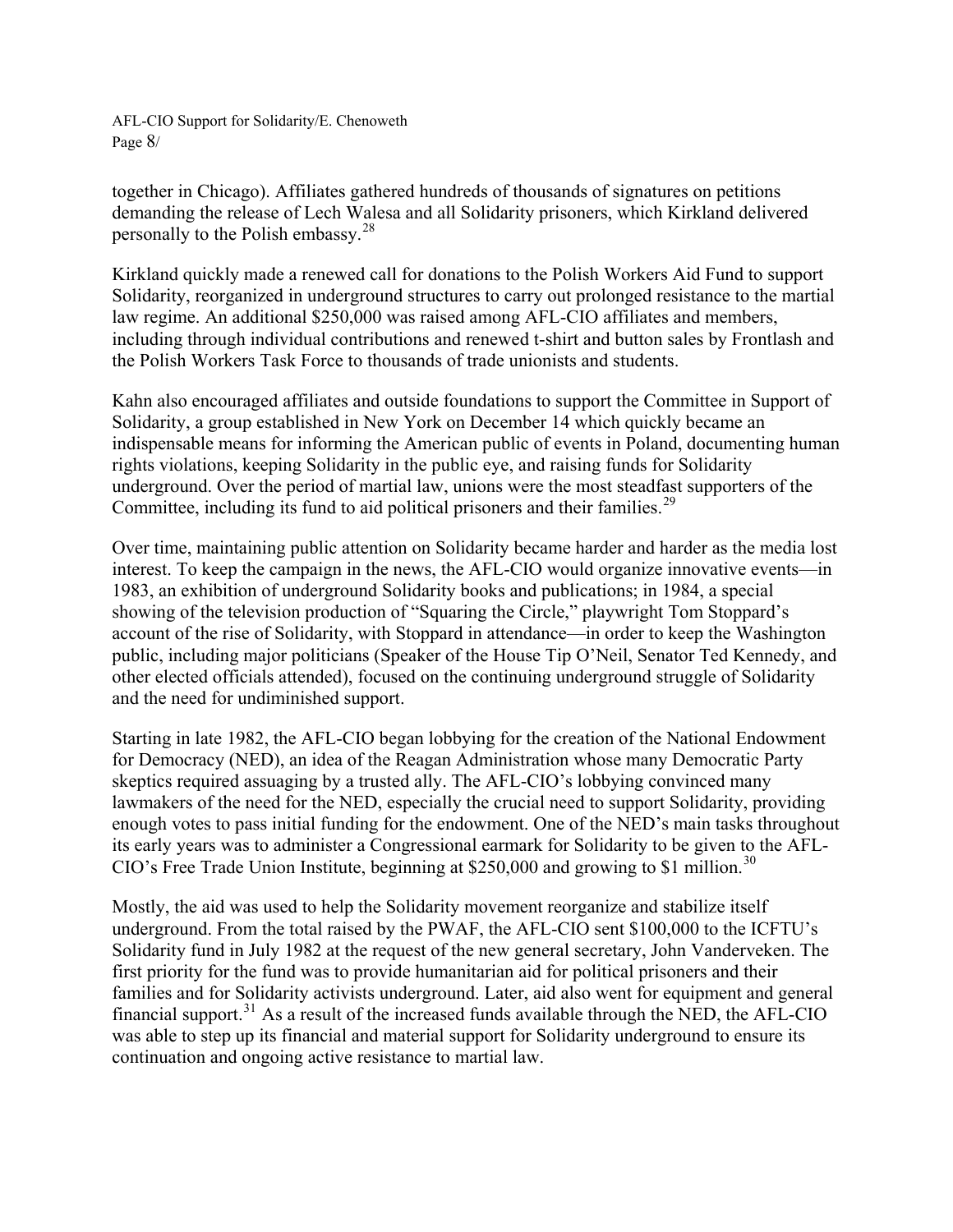AFL-CIO Support for Solidarity/E. Chenoweth Page 8/

together in Chicago). Affiliates gathered hundreds of thousands of signatures on petitions demanding the release of Lech Walesa and all Solidarity prisoners, which Kirkland delivered personally to the Polish embassy.[28](#page-20-1)

Kirkland quickly made a renewed call for donations to the Polish Workers Aid Fund to support Solidarity, reorganized in underground structures to carry out prolonged resistance to the martial law regime. An additional \$250,000 was raised among AFL-CIO affiliates and members, including through individual contributions and renewed t-shirt and button sales by Frontlash and the Polish Workers Task Force to thousands of trade unionists and students.

Kahn also encouraged affiliates and outside foundations to support the Committee in Support of Solidarity, a group established in New York on December 14 which quickly became an indispensable means for informing the American public of events in Poland, documenting human rights violations, keeping Solidarity in the public eye, and raising funds for Solidarity underground. Over the period of martial law, unions were the most steadfast supporters of the Committee, including its fund to aid political prisoners and their families.<sup>[29](#page-20-1)</sup>

Over time, maintaining public attention on Solidarity became harder and harder as the media lost interest. To keep the campaign in the news, the AFL-CIO would organize innovative events—in 1983, an exhibition of underground Solidarity books and publications; in 1984, a special showing of the television production of "Squaring the Circle," playwright Tom Stoppard's account of the rise of Solidarity, with Stoppard in attendance—in order to keep the Washington public, including major politicians (Speaker of the House Tip O'Neil, Senator Ted Kennedy, and other elected officials attended), focused on the continuing underground struggle of Solidarity and the need for undiminished support.

Starting in late 1982, the AFL-CIO began lobbying for the creation of the National Endowment for Democracy (NED), an idea of the Reagan Administration whose many Democratic Party skeptics required assuaging by a trusted ally. The AFL-CIO's lobbying convinced many lawmakers of the need for the NED, especially the crucial need to support Solidarity, providing enough votes to pass initial funding for the endowment. One of the NED's main tasks throughout its early years was to administer a Congressional earmark for Solidarity to be given to the AFL-CIO's Free Trade Union Institute, beginning at \$250,000 and growing to \$1 million.<sup>[30](#page-20-1)</sup>

Mostly, the aid was used to help the Solidarity movement reorganize and stabilize itself underground. From the total raised by the PWAF, the AFL-CIO sent \$100,000 to the ICFTU's Solidarity fund in July 1982 at the request of the new general secretary, John Vanderveken. The first priority for the fund was to provide humanitarian aid for political prisoners and their families and for Solidarity activists underground. Later, aid also went for equipment and general financial support.[31](#page-20-1) As a result of the increased funds available through the NED, the AFL-CIO was able to step up its financial and material support for Solidarity underground to ensure its continuation and ongoing active resistance to martial law.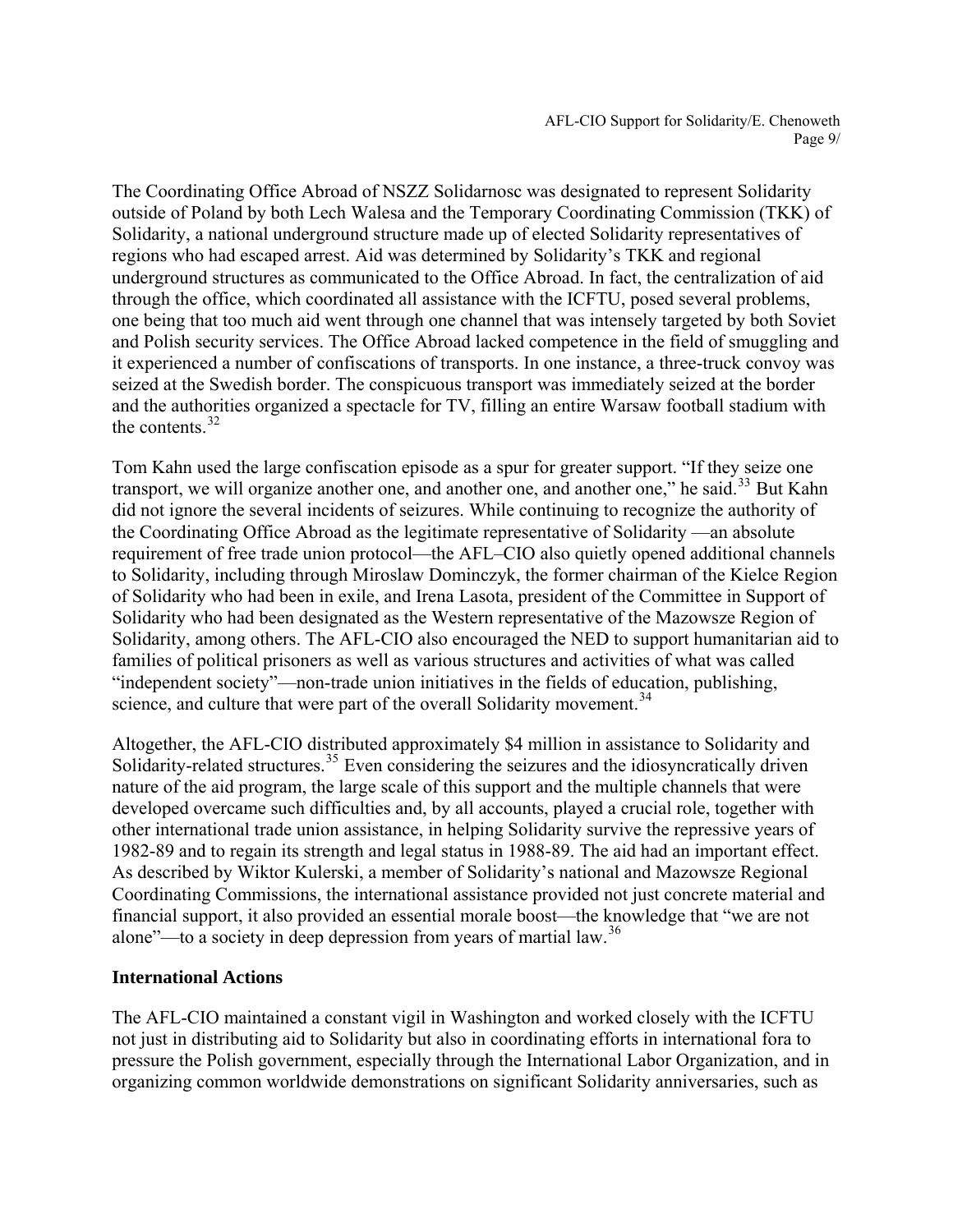The Coordinating Office Abroad of NSZZ Solidarnosc was designated to represent Solidarity outside of Poland by both Lech Walesa and the Temporary Coordinating Commission (TKK) of Solidarity, a national underground structure made up of elected Solidarity representatives of regions who had escaped arrest. Aid was determined by Solidarity's TKK and regional underground structures as communicated to the Office Abroad. In fact, the centralization of aid through the office, which coordinated all assistance with the ICFTU, posed several problems, one being that too much aid went through one channel that was intensely targeted by both Soviet and Polish security services. The Office Abroad lacked competence in the field of smuggling and it experienced a number of confiscations of transports. In one instance, a three-truck convoy was seized at the Swedish border. The conspicuous transport was immediately seized at the border and the authorities organized a spectacle for TV, filling an entire Warsaw football stadium with the contents.  $32$ 

Tom Kahn used the large confiscation episode as a spur for greater support. "If they seize one transport, we will organize another one, and another one, and another one," he said.<sup>[33](#page-20-1)</sup> But Kahn did not ignore the several incidents of seizures. While continuing to recognize the authority of the Coordinating Office Abroad as the legitimate representative of Solidarity —an absolute requirement of free trade union protocol—the AFL–CIO also quietly opened additional channels to Solidarity, including through Miroslaw Dominczyk, the former chairman of the Kielce Region of Solidarity who had been in exile, and Irena Lasota, president of the Committee in Support of Solidarity who had been designated as the Western representative of the Mazowsze Region of Solidarity, among others. The AFL-CIO also encouraged the NED to support humanitarian aid to families of political prisoners as well as various structures and activities of what was called "independent society"—non-trade union initiatives in the fields of education, publishing, science, and culture that were part of the overall Solidarity movement.<sup>[34](#page-20-1)</sup>

Altogether, the AFL-CIO distributed approximately \$4 million in assistance to Solidarity and Solidarity-related structures.<sup>[35](#page-20-1)</sup> Even considering the seizures and the idiosyncratically driven nature of the aid program, the large scale of this support and the multiple channels that were developed overcame such difficulties and, by all accounts, played a crucial role, together with other international trade union assistance, in helping Solidarity survive the repressive years of 1982-89 and to regain its strength and legal status in 1988-89. The aid had an important effect. As described by Wiktor Kulerski, a member of Solidarity's national and Mazowsze Regional Coordinating Commissions, the international assistance provided not just concrete material and financial support, it also provided an essential morale boost—the knowledge that "we are not alone"—to a society in deep depression from years of martial law.<sup>[36](#page-20-1)</sup>

## **International Actions**

The AFL-CIO maintained a constant vigil in Washington and worked closely with the ICFTU not just in distributing aid to Solidarity but also in coordinating efforts in international fora to pressure the Polish government, especially through the International Labor Organization, and in organizing common worldwide demonstrations on significant Solidarity anniversaries, such as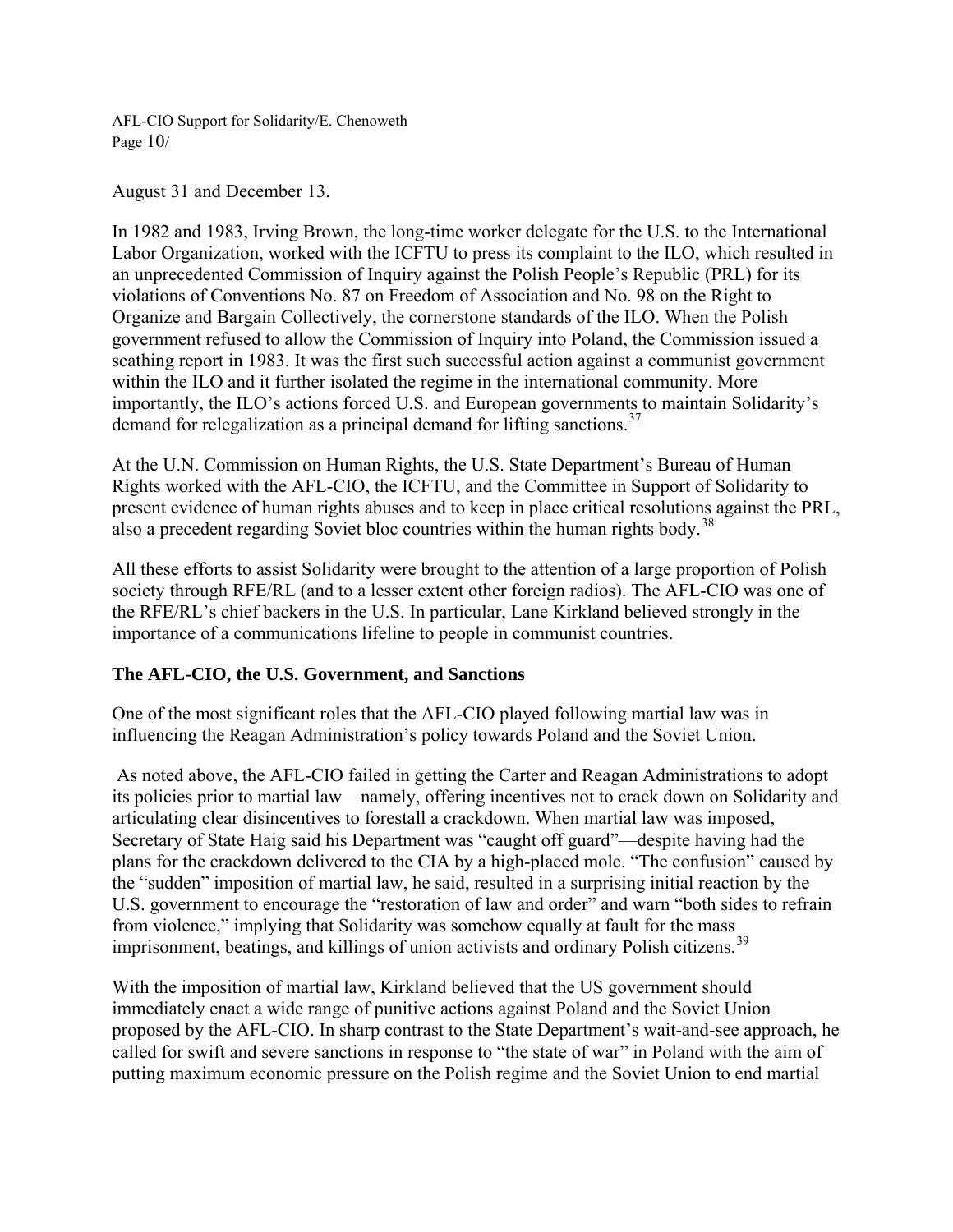AFL-CIO Support for Solidarity/E. Chenoweth Page  $10/$ 

August 31 and December 13.

In 1982 and 1983, Irving Brown, the long-time worker delegate for the U.S. to the International Labor Organization, worked with the ICFTU to press its complaint to the ILO, which resulted in an unprecedented Commission of Inquiry against the Polish People's Republic (PRL) for its violations of Conventions No. 87 on Freedom of Association and No. 98 on the Right to Organize and Bargain Collectively, the cornerstone standards of the ILO. When the Polish government refused to allow the Commission of Inquiry into Poland, the Commission issued a scathing report in 1983. It was the first such successful action against a communist government within the ILO and it further isolated the regime in the international community. More importantly, the ILO's actions forced U.S. and European governments to maintain Solidarity's demand for relegalization as a principal demand for lifting sanctions.<sup>[37](#page-20-1)</sup>

At the U.N. Commission on Human Rights, the U.S. State Department's Bureau of Human Rights worked with the AFL-CIO, the ICFTU, and the Committee in Support of Solidarity to present evidence of human rights abuses and to keep in place critical resolutions against the PRL, also a precedent regarding Soviet bloc countries within the human rights body.<sup>[38](#page-20-1)</sup>

All these efforts to assist Solidarity were brought to the attention of a large proportion of Polish society through RFE/RL (and to a lesser extent other foreign radios). The AFL-CIO was one of the RFE/RL's chief backers in the U.S. In particular, Lane Kirkland believed strongly in the importance of a communications lifeline to people in communist countries.

## **The AFL-CIO, the U.S. Government, and Sanctions**

One of the most significant roles that the AFL-CIO played following martial law was in influencing the Reagan Administration's policy towards Poland and the Soviet Union.

 As noted above, the AFL-CIO failed in getting the Carter and Reagan Administrations to adopt its policies prior to martial law—namely, offering incentives not to crack down on Solidarity and articulating clear disincentives to forestall a crackdown. When martial law was imposed, Secretary of State Haig said his Department was "caught off guard"—despite having had the plans for the crackdown delivered to the CIA by a high-placed mole. "The confusion" caused by the "sudden" imposition of martial law, he said, resulted in a surprising initial reaction by the U.S. government to encourage the "restoration of law and order" and warn "both sides to refrain from violence," implying that Solidarity was somehow equally at fault for the mass imprisonment, beatings, and killings of union activists and ordinary Polish citizens.<sup>[39](#page-20-1)</sup>

With the imposition of martial law, Kirkland believed that the US government should immediately enact a wide range of punitive actions against Poland and the Soviet Union proposed by the AFL-CIO. In sharp contrast to the State Department's wait-and-see approach, he called for swift and severe sanctions in response to "the state of war" in Poland with the aim of putting maximum economic pressure on the Polish regime and the Soviet Union to end martial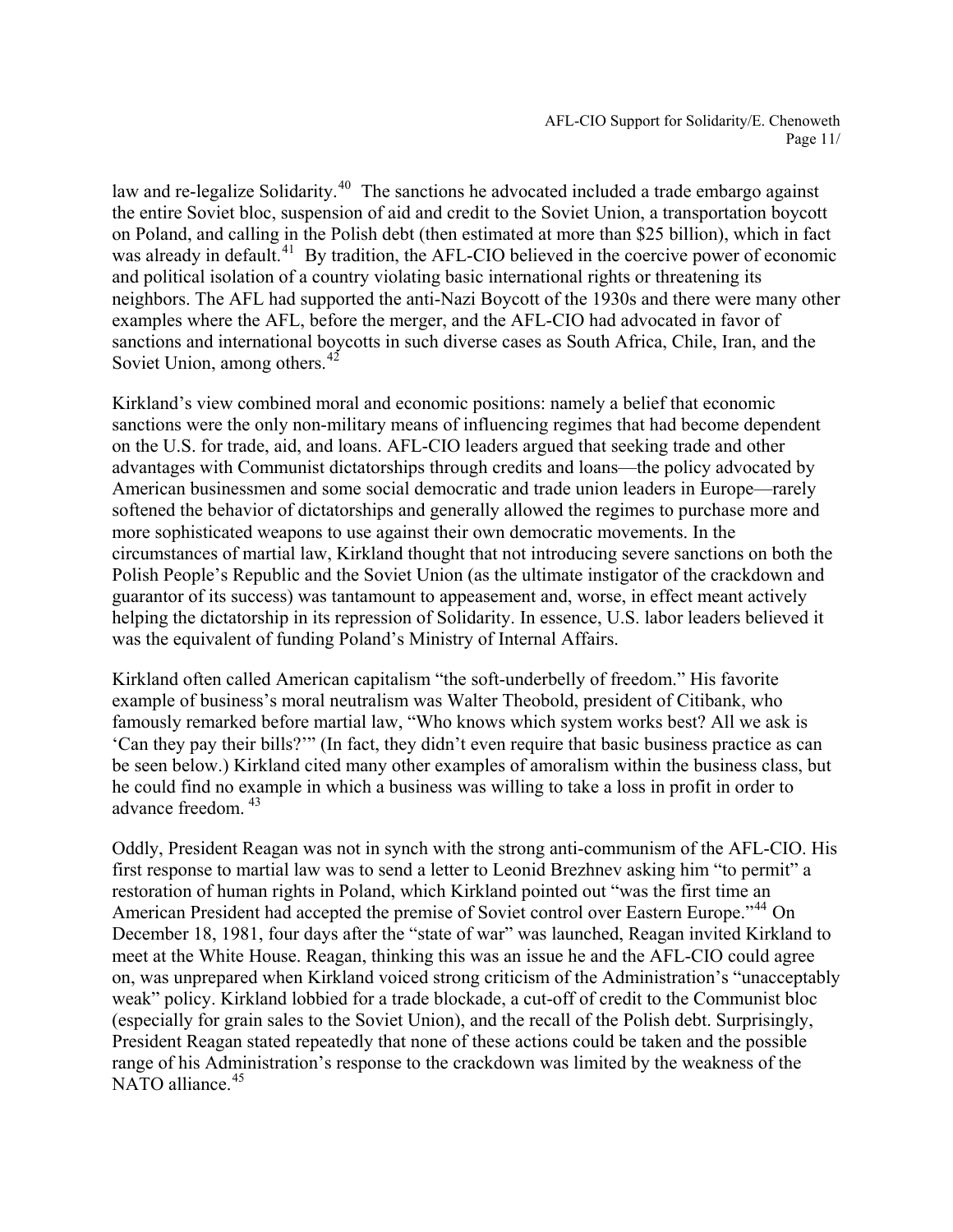law and re-legalize Solidarity.<sup>[40](#page-20-1)</sup> The sanctions he advocated included a trade embargo against the entire Soviet bloc, suspension of aid and credit to the Soviet Union, a transportation boycott on Poland, and calling in the Polish debt (then estimated at more than \$25 billion), which in fact was already in default.<sup>[41](#page-20-1)</sup> By tradition, the AFL-CIO believed in the coercive power of economic and political isolation of a country violating basic international rights or threatening its neighbors. The AFL had supported the anti-Nazi Boycott of the 1930s and there were many other examples where the AFL, before the merger, and the AFL-CIO had advocated in favor of sanctions and international boycotts in such diverse cases as South Africa, Chile, Iran, and the Soviet Union, among others. $42^{\circ}$  $42^{\circ}$ 

Kirkland's view combined moral and economic positions: namely a belief that economic sanctions were the only non-military means of influencing regimes that had become dependent on the U.S. for trade, aid, and loans. AFL-CIO leaders argued that seeking trade and other advantages with Communist dictatorships through credits and loans—the policy advocated by American businessmen and some social democratic and trade union leaders in Europe—rarely softened the behavior of dictatorships and generally allowed the regimes to purchase more and more sophisticated weapons to use against their own democratic movements. In the circumstances of martial law, Kirkland thought that not introducing severe sanctions on both the Polish People's Republic and the Soviet Union (as the ultimate instigator of the crackdown and guarantor of its success) was tantamount to appeasement and, worse, in effect meant actively helping the dictatorship in its repression of Solidarity. In essence, U.S. labor leaders believed it was the equivalent of funding Poland's Ministry of Internal Affairs.

Kirkland often called American capitalism "the soft-underbelly of freedom." His favorite example of business's moral neutralism was Walter Theobold, president of Citibank, who famously remarked before martial law, "Who knows which system works best? All we ask is 'Can they pay their bills?'" (In fact, they didn't even require that basic business practice as can be seen below.) Kirkland cited many other examples of amoralism within the business class, but he could find no example in which a business was willing to take a loss in profit in order to advance freedom. [43](#page-20-1)

Oddly, President Reagan was not in synch with the strong anti-communism of the AFL-CIO. His first response to martial law was to send a letter to Leonid Brezhnev asking him "to permit" a restoration of human rights in Poland, which Kirkland pointed out "was the first time an American President had accepted the premise of Soviet control over Eastern Europe."<sup>[44](#page-20-1)</sup> On December 18, 1981, four days after the "state of war" was launched, Reagan invited Kirkland to meet at the White House. Reagan, thinking this was an issue he and the AFL-CIO could agree on, was unprepared when Kirkland voiced strong criticism of the Administration's "unacceptably weak" policy. Kirkland lobbied for a trade blockade, a cut-off of credit to the Communist bloc (especially for grain sales to the Soviet Union), and the recall of the Polish debt. Surprisingly, President Reagan stated repeatedly that none of these actions could be taken and the possible range of his Administration's response to the crackdown was limited by the weakness of the NATO alliance  $45$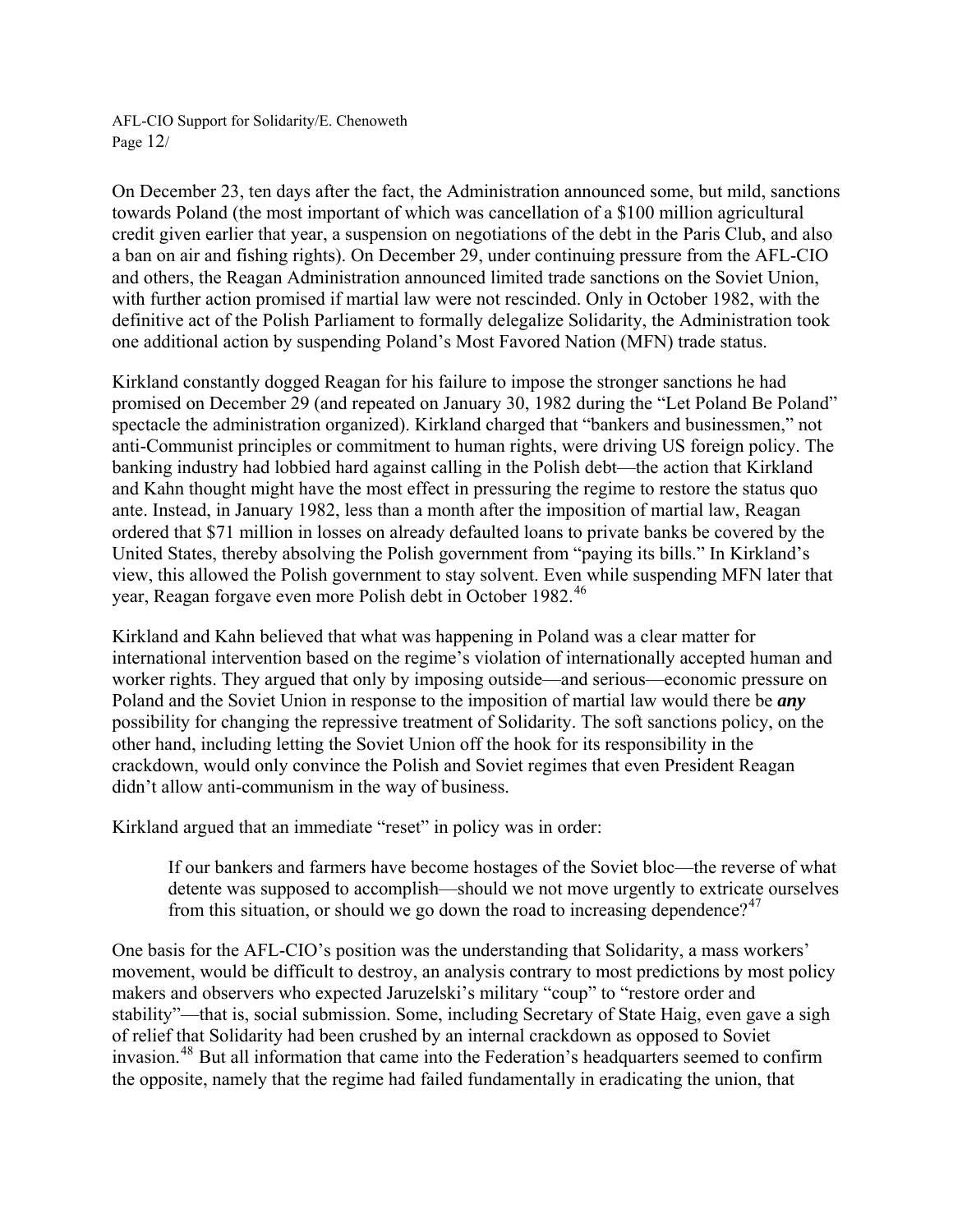AFL-CIO Support for Solidarity/E. Chenoweth Page 12/

On December 23, ten days after the fact, the Administration announced some, but mild, sanctions towards Poland (the most important of which was cancellation of a \$100 million agricultural credit given earlier that year, a suspension on negotiations of the debt in the Paris Club, and also a ban on air and fishing rights). On December 29, under continuing pressure from the AFL-CIO and others, the Reagan Administration announced limited trade sanctions on the Soviet Union, with further action promised if martial law were not rescinded. Only in October 1982, with the definitive act of the Polish Parliament to formally delegalize Solidarity, the Administration took one additional action by suspending Poland's Most Favored Nation (MFN) trade status.

Kirkland constantly dogged Reagan for his failure to impose the stronger sanctions he had promised on December 29 (and repeated on January 30, 1982 during the "Let Poland Be Poland" spectacle the administration organized). Kirkland charged that "bankers and businessmen," not anti-Communist principles or commitment to human rights, were driving US foreign policy. The banking industry had lobbied hard against calling in the Polish debt—the action that Kirkland and Kahn thought might have the most effect in pressuring the regime to restore the status quo ante. Instead, in January 1982, less than a month after the imposition of martial law, Reagan ordered that \$71 million in losses on already defaulted loans to private banks be covered by the United States, thereby absolving the Polish government from "paying its bills." In Kirkland's view, this allowed the Polish government to stay solvent. Even while suspending MFN later that year, Reagan forgave even more Polish debt in October 1982.<sup>[46](#page-20-1)</sup>

Kirkland and Kahn believed that what was happening in Poland was a clear matter for international intervention based on the regime's violation of internationally accepted human and worker rights. They argued that only by imposing outside—and serious—economic pressure on Poland and the Soviet Union in response to the imposition of martial law would there be *any*  possibility for changing the repressive treatment of Solidarity. The soft sanctions policy, on the other hand, including letting the Soviet Union off the hook for its responsibility in the crackdown, would only convince the Polish and Soviet regimes that even President Reagan didn't allow anti-communism in the way of business.

Kirkland argued that an immediate "reset" in policy was in order:

If our bankers and farmers have become hostages of the Soviet bloc—the reverse of what detente was supposed to accomplish—should we not move urgently to extricate ourselves from this situation, or should we go down the road to increasing dependence?<sup>[47](#page-20-1)</sup>

One basis for the AFL-CIO's position was the understanding that Solidarity, a mass workers' movement, would be difficult to destroy, an analysis contrary to most predictions by most policy makers and observers who expected Jaruzelski's military "coup" to "restore order and stability"—that is, social submission. Some, including Secretary of State Haig, even gave a sigh of relief that Solidarity had been crushed by an internal crackdown as opposed to Soviet invasion.[48](#page-20-1) But all information that came into the Federation's headquarters seemed to confirm the opposite, namely that the regime had failed fundamentally in eradicating the union, that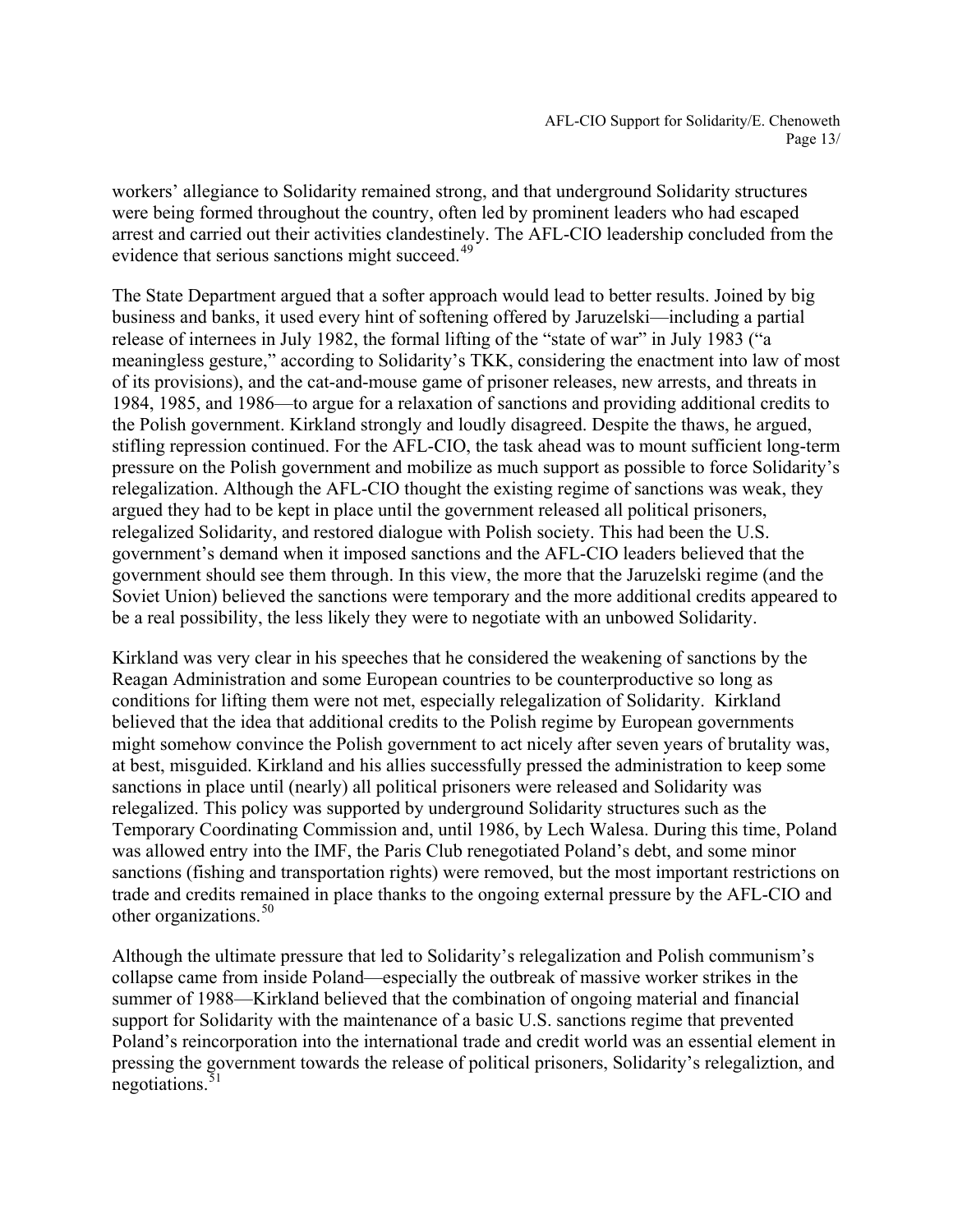workers' allegiance to Solidarity remained strong, and that underground Solidarity structures were being formed throughout the country, often led by prominent leaders who had escaped arrest and carried out their activities clandestinely. The AFL-CIO leadership concluded from the evidence that serious sanctions might succeed.<sup>[49](#page-20-1)</sup>

The State Department argued that a softer approach would lead to better results. Joined by big business and banks, it used every hint of softening offered by Jaruzelski—including a partial release of internees in July 1982, the formal lifting of the "state of war" in July 1983 ("a meaningless gesture," according to Solidarity's TKK, considering the enactment into law of most of its provisions), and the cat-and-mouse game of prisoner releases, new arrests, and threats in 1984, 1985, and 1986—to argue for a relaxation of sanctions and providing additional credits to the Polish government. Kirkland strongly and loudly disagreed. Despite the thaws, he argued, stifling repression continued. For the AFL-CIO, the task ahead was to mount sufficient long-term pressure on the Polish government and mobilize as much support as possible to force Solidarity's relegalization. Although the AFL-CIO thought the existing regime of sanctions was weak, they argued they had to be kept in place until the government released all political prisoners, relegalized Solidarity, and restored dialogue with Polish society. This had been the U.S. government's demand when it imposed sanctions and the AFL-CIO leaders believed that the government should see them through. In this view, the more that the Jaruzelski regime (and the Soviet Union) believed the sanctions were temporary and the more additional credits appeared to be a real possibility, the less likely they were to negotiate with an unbowed Solidarity.

Kirkland was very clear in his speeches that he considered the weakening of sanctions by the Reagan Administration and some European countries to be counterproductive so long as conditions for lifting them were not met, especially relegalization of Solidarity. Kirkland believed that the idea that additional credits to the Polish regime by European governments might somehow convince the Polish government to act nicely after seven years of brutality was, at best, misguided. Kirkland and his allies successfully pressed the administration to keep some sanctions in place until (nearly) all political prisoners were released and Solidarity was relegalized. This policy was supported by underground Solidarity structures such as the Temporary Coordinating Commission and, until 1986, by Lech Walesa. During this time, Poland was allowed entry into the IMF, the Paris Club renegotiated Poland's debt, and some minor sanctions (fishing and transportation rights) were removed, but the most important restrictions on trade and credits remained in place thanks to the ongoing external pressure by the AFL-CIO and other organizations.<sup>[50](#page-20-1)</sup>

Although the ultimate pressure that led to Solidarity's relegalization and Polish communism's collapse came from inside Poland—especially the outbreak of massive worker strikes in the summer of 1988—Kirkland believed that the combination of ongoing material and financial support for Solidarity with the maintenance of a basic U.S. sanctions regime that prevented Poland's reincorporation into the international trade and credit world was an essential element in pressing the government towards the release of political prisoners, Solidarity's relegaliztion, and negotiations.<sup>5</sup>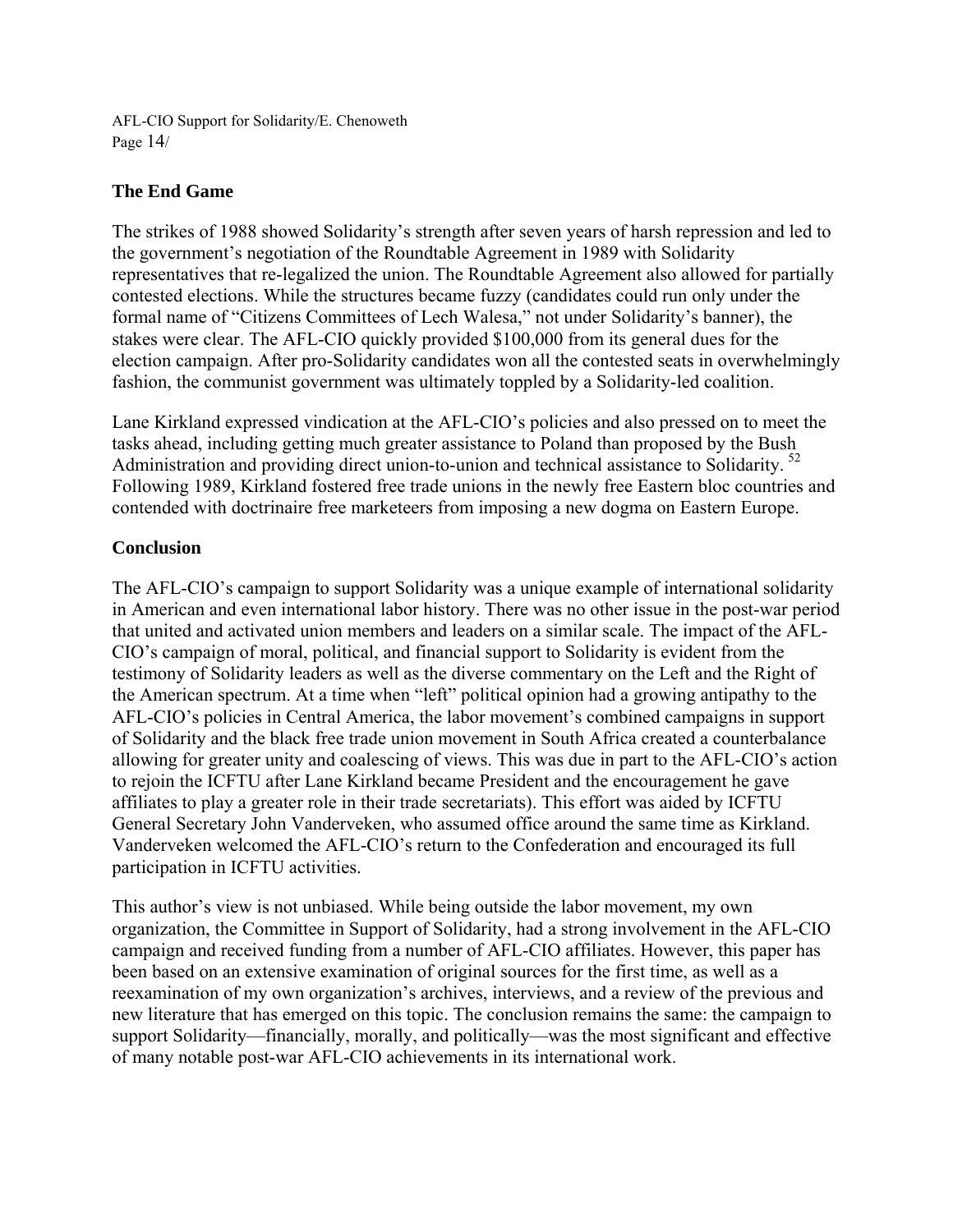AFL-CIO Support for Solidarity/E. Chenoweth Page 14/

## **The End Game**

The strikes of 1988 showed Solidarity's strength after seven years of harsh repression and led to the government's negotiation of the Roundtable Agreement in 1989 with Solidarity representatives that re-legalized the union. The Roundtable Agreement also allowed for partially contested elections. While the structures became fuzzy (candidates could run only under the formal name of "Citizens Committees of Lech Walesa," not under Solidarity's banner), the stakes were clear. The AFL-CIO quickly provided \$100,000 from its general dues for the election campaign. After pro-Solidarity candidates won all the contested seats in overwhelmingly fashion, the communist government was ultimately toppled by a Solidarity-led coalition.

Lane Kirkland expressed vindication at the AFL-CIO's policies and also pressed on to meet the tasks ahead, including getting much greater assistance to Poland than proposed by the Bush Administration and providing direct union-to-union and technical assistance to Solidarity. [52](#page-20-1) Following 1989, Kirkland fostered free trade unions in the newly free Eastern bloc countries and contended with doctrinaire free marketeers from imposing a new dogma on Eastern Europe.

## **Conclusion**

The AFL-CIO's campaign to support Solidarity was a unique example of international solidarity in American and even international labor history. There was no other issue in the post-war period that united and activated union members and leaders on a similar scale. The impact of the AFL-CIO's campaign of moral, political, and financial support to Solidarity is evident from the testimony of Solidarity leaders as well as the diverse commentary on the Left and the Right of the American spectrum. At a time when "left" political opinion had a growing antipathy to the AFL-CIO's policies in Central America, the labor movement's combined campaigns in support of Solidarity and the black free trade union movement in South Africa created a counterbalance allowing for greater unity and coalescing of views. This was due in part to the AFL-CIO's action to rejoin the ICFTU after Lane Kirkland became President and the encouragement he gave affiliates to play a greater role in their trade secretariats). This effort was aided by ICFTU General Secretary John Vanderveken, who assumed office around the same time as Kirkland. Vanderveken welcomed the AFL-CIO's return to the Confederation and encouraged its full participation in ICFTU activities.

This author's view is not unbiased. While being outside the labor movement, my own organization, the Committee in Support of Solidarity, had a strong involvement in the AFL-CIO campaign and received funding from a number of AFL-CIO affiliates. However, this paper has been based on an extensive examination of original sources for the first time, as well as a reexamination of my own organization's archives, interviews, and a review of the previous and new literature that has emerged on this topic. The conclusion remains the same: the campaign to support Solidarity—financially, morally, and politically—was the most significant and effective of many notable post-war AFL-CIO achievements in its international work.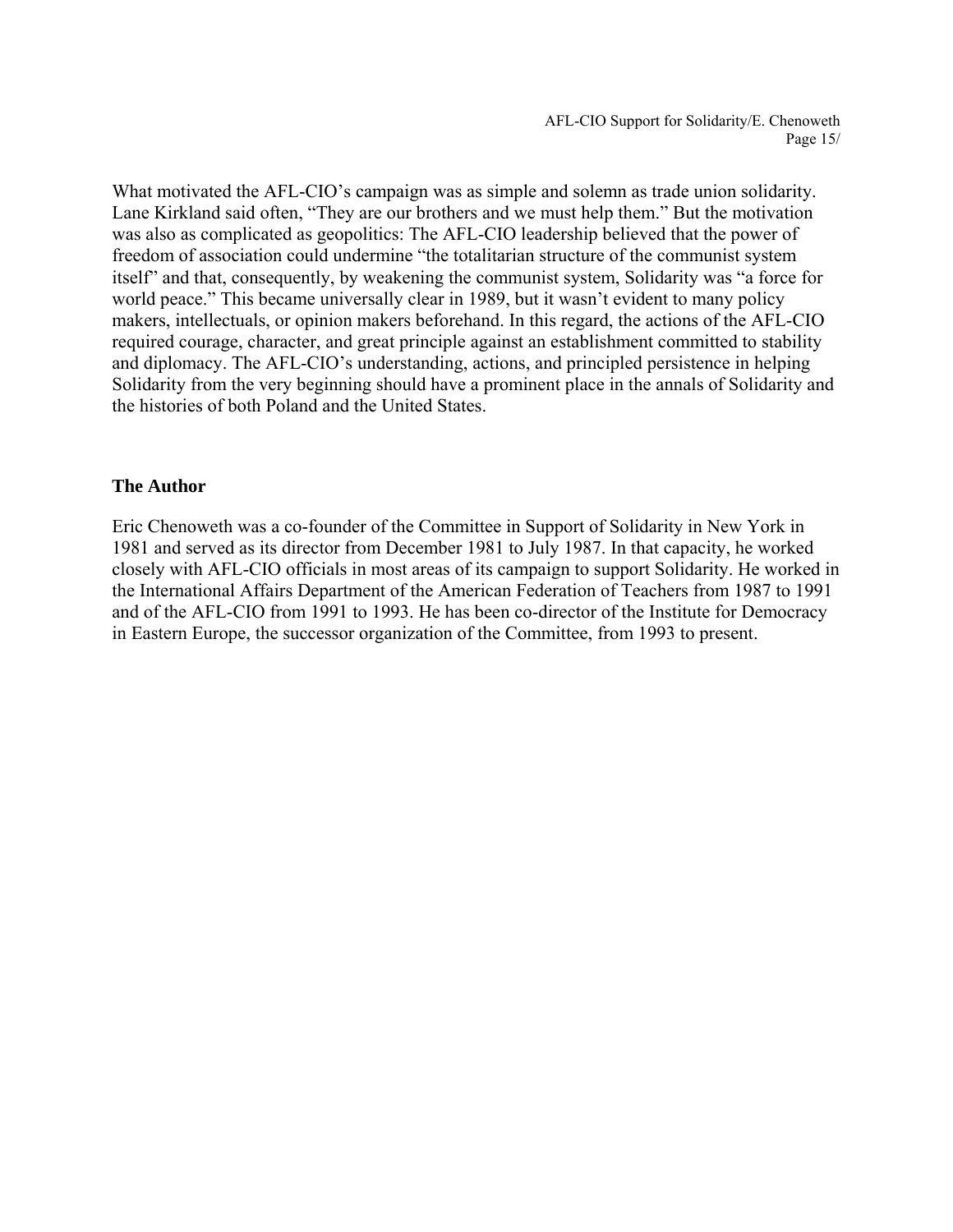AFL-CIO Support for Solidarity/E. Chenoweth Page 15/

What motivated the AFL-CIO's campaign was as simple and solemn as trade union solidarity. Lane Kirkland said often, "They are our brothers and we must help them." But the motivation was also as complicated as geopolitics: The AFL-CIO leadership believed that the power of freedom of association could undermine "the totalitarian structure of the communist system itself" and that, consequently, by weakening the communist system, Solidarity was "a force for world peace." This became universally clear in 1989, but it wasn't evident to many policy makers, intellectuals, or opinion makers beforehand. In this regard, the actions of the AFL-CIO required courage, character, and great principle against an establishment committed to stability and diplomacy. The AFL-CIO's understanding, actions, and principled persistence in helping Solidarity from the very beginning should have a prominent place in the annals of Solidarity and the histories of both Poland and the United States.

#### **The Author**

Eric Chenoweth was a co-founder of the Committee in Support of Solidarity in New York in 1981 and served as its director from December 1981 to July 1987. In that capacity, he worked closely with AFL-CIO officials in most areas of its campaign to support Solidarity. He worked in the International Affairs Department of the American Federation of Teachers from 1987 to 1991 and of the AFL-CIO from 1991 to 1993. He has been co-director of the Institute for Democracy in Eastern Europe, the successor organization of the Committee, from 1993 to present.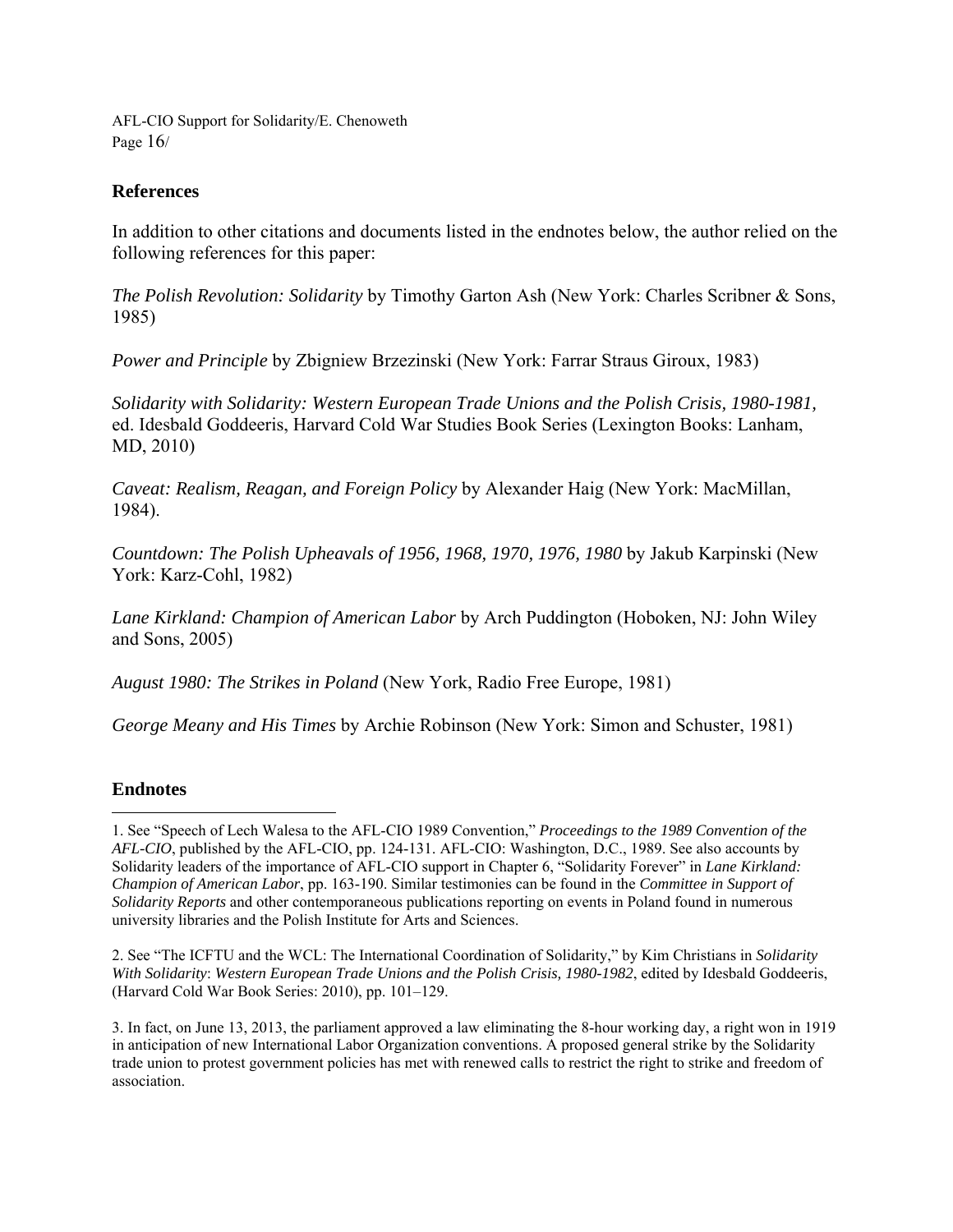AFL-CIO Support for Solidarity/E. Chenoweth Page  $16/$ 

#### **References**

In addition to other citations and documents listed in the endnotes below, the author relied on the following references for this paper:

*The Polish Revolution: Solidarity* by Timothy Garton Ash (New York: Charles Scribner & Sons, 1985)

*Power and Principle* by Zbigniew Brzezinski (New York: Farrar Straus Giroux, 1983)

*Solidarity with Solidarity: Western European Trade Unions and the Polish Crisis, 1980-1981,* ed. Idesbald Goddeeris, Harvard Cold War Studies Book Series (Lexington Books: Lanham, MD, 2010)

*Caveat: Realism, Reagan, and Foreign Policy* by Alexander Haig (New York: MacMillan, 1984).

*Countdown: The Polish Upheavals of 1956, 1968, 1970, 1976, 1980* by Jakub Karpinski (New York: Karz-Cohl, 1982)

*Lane Kirkland: Champion of American Labor* by Arch Puddington (Hoboken, NJ: John Wiley and Sons, 2005)

*August 1980: The Strikes in Poland* (New York, Radio Free Europe, 1981)

*George Meany and His Times* by Archie Robinson (New York: Simon and Schuster, 1981)

#### **Endnotes**

<u>.</u>

2. See "The ICFTU and the WCL: The International Coordination of Solidarity," by Kim Christians in *Solidarity With Solidarity*: *Western European Trade Unions and the Polish Crisis, 1980-1982*, edited by Idesbald Goddeeris, (Harvard Cold War Book Series: 2010), pp. 101–129.

<sup>1.</sup> See "Speech of Lech Walesa to the AFL-CIO 1989 Convention," *Proceedings to the 1989 Convention of the AFL-CIO*, published by the AFL-CIO, pp. 124-131. AFL-CIO: Washington, D.C., 1989. See also accounts by Solidarity leaders of the importance of AFL-CIO support in Chapter 6, "Solidarity Forever" in *Lane Kirkland: Champion of American Labor*, pp. 163-190. Similar testimonies can be found in the *Committee in Support of Solidarity Reports* and other contemporaneous publications reporting on events in Poland found in numerous university libraries and the Polish Institute for Arts and Sciences.

<sup>3.</sup> In fact, on June 13, 2013, the parliament approved a law eliminating the 8-hour working day, a right won in 1919 in anticipation of new International Labor Organization conventions. A proposed general strike by the Solidarity trade union to protest government policies has met with renewed calls to restrict the right to strike and freedom of association.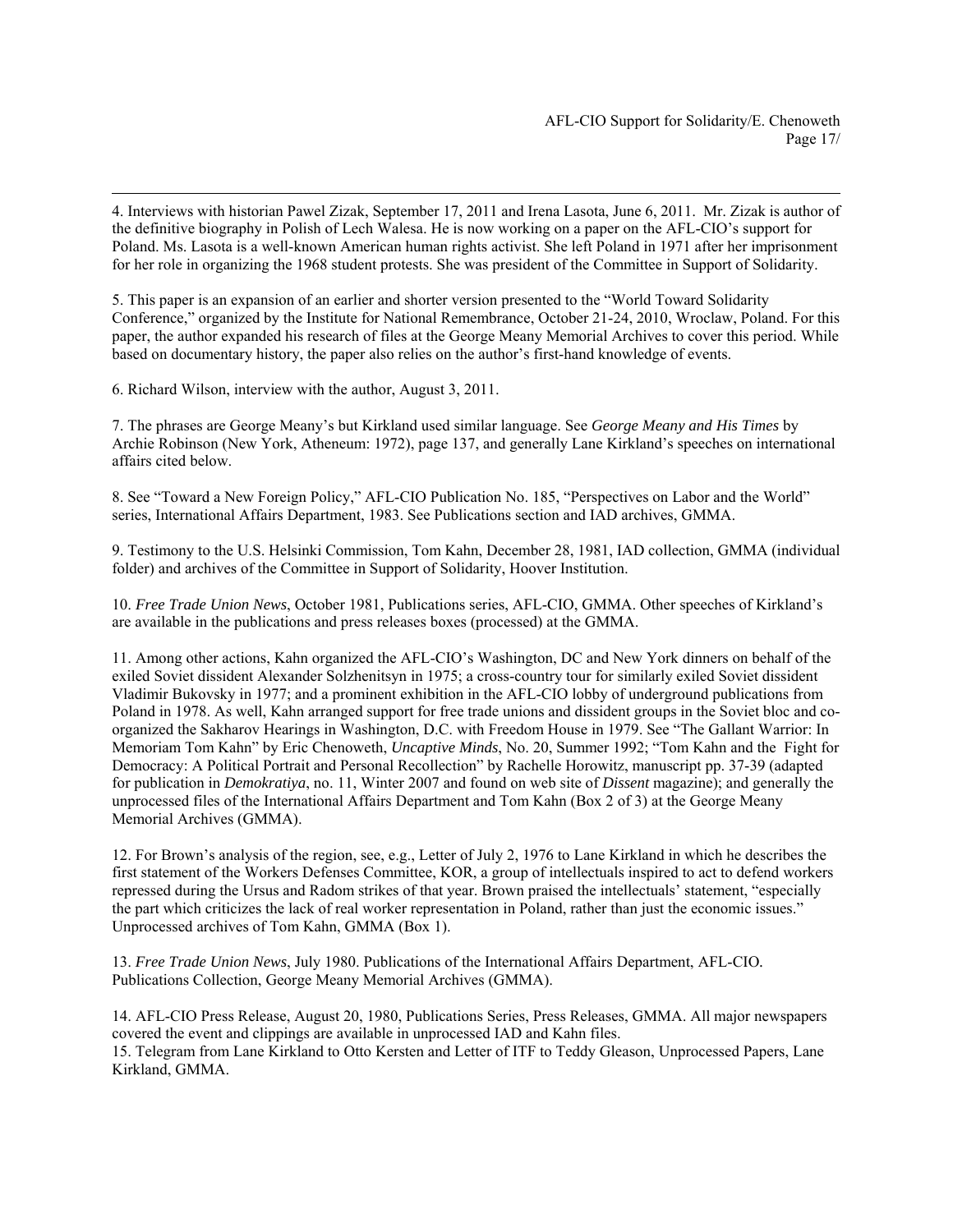4. Interviews with historian Pawel Zizak, September 17, 2011 and Irena Lasota, June 6, 2011. Mr. Zizak is author of the definitive biography in Polish of Lech Walesa. He is now working on a paper on the AFL-CIO's support for Poland. Ms. Lasota is a well-known American human rights activist. She left Poland in 1971 after her imprisonment for her role in organizing the 1968 student protests. She was president of the Committee in Support of Solidarity.

5. This paper is an expansion of an earlier and shorter version presented to the "World Toward Solidarity Conference," organized by the Institute for National Remembrance, October 21-24, 2010, Wroclaw, Poland. For this paper, the author expanded his research of files at the George Meany Memorial Archives to cover this period. While based on documentary history, the paper also relies on the author's first-hand knowledge of events.

6. Richard Wilson, interview with the author, August 3, 2011.

7. The phrases are George Meany's but Kirkland used similar language. See *George Meany and His Times* by Archie Robinson (New York, Atheneum: 1972), page 137, and generally Lane Kirkland's speeches on international affairs cited below.

8. See "Toward a New Foreign Policy," AFL-CIO Publication No. 185, "Perspectives on Labor and the World" series, International Affairs Department, 1983. See Publications section and IAD archives, GMMA.

9. Testimony to the U.S. Helsinki Commission, Tom Kahn, December 28, 1981, IAD collection, GMMA (individual folder) and archives of the Committee in Support of Solidarity, Hoover Institution.

10. *Free Trade Union News*, October 1981, Publications series, AFL-CIO, GMMA. Other speeches of Kirkland's are available in the publications and press releases boxes (processed) at the GMMA.

11. Among other actions, Kahn organized the AFL-CIO's Washington, DC and New York dinners on behalf of the exiled Soviet dissident Alexander Solzhenitsyn in 1975; a cross-country tour for similarly exiled Soviet dissident Vladimir Bukovsky in 1977; and a prominent exhibition in the AFL-CIO lobby of underground publications from Poland in 1978. As well, Kahn arranged support for free trade unions and dissident groups in the Soviet bloc and coorganized the Sakharov Hearings in Washington, D.C. with Freedom House in 1979. See "The Gallant Warrior: In Memoriam Tom Kahn" by Eric Chenoweth, *Uncaptive Minds*, No. 20, Summer 1992; "Tom Kahn and the Fight for Democracy: A Political Portrait and Personal Recollection" by Rachelle Horowitz, manuscript pp. 37-39 (adapted for publication in *Demokratiya*, no. 11, Winter 2007 and found on web site of *Dissent* magazine); and generally the unprocessed files of the International Affairs Department and Tom Kahn (Box 2 of 3) at the George Meany Memorial Archives (GMMA).

12. For Brown's analysis of the region, see, e.g., Letter of July 2, 1976 to Lane Kirkland in which he describes the first statement of the Workers Defenses Committee, KOR, a group of intellectuals inspired to act to defend workers repressed during the Ursus and Radom strikes of that year. Brown praised the intellectuals' statement, "especially the part which criticizes the lack of real worker representation in Poland, rather than just the economic issues." Unprocessed archives of Tom Kahn, GMMA (Box 1).

13. *Free Trade Union News*, July 1980. Publications of the International Affairs Department, AFL-CIO*.*  Publications Collection, George Meany Memorial Archives (GMMA).

14. AFL-CIO Press Release, August 20, 1980, Publications Series, Press Releases, GMMA. All major newspapers covered the event and clippings are available in unprocessed IAD and Kahn files. 15. Telegram from Lane Kirkland to Otto Kersten and Letter of ITF to Teddy Gleason, Unprocessed Papers, Lane Kirkland, GMMA.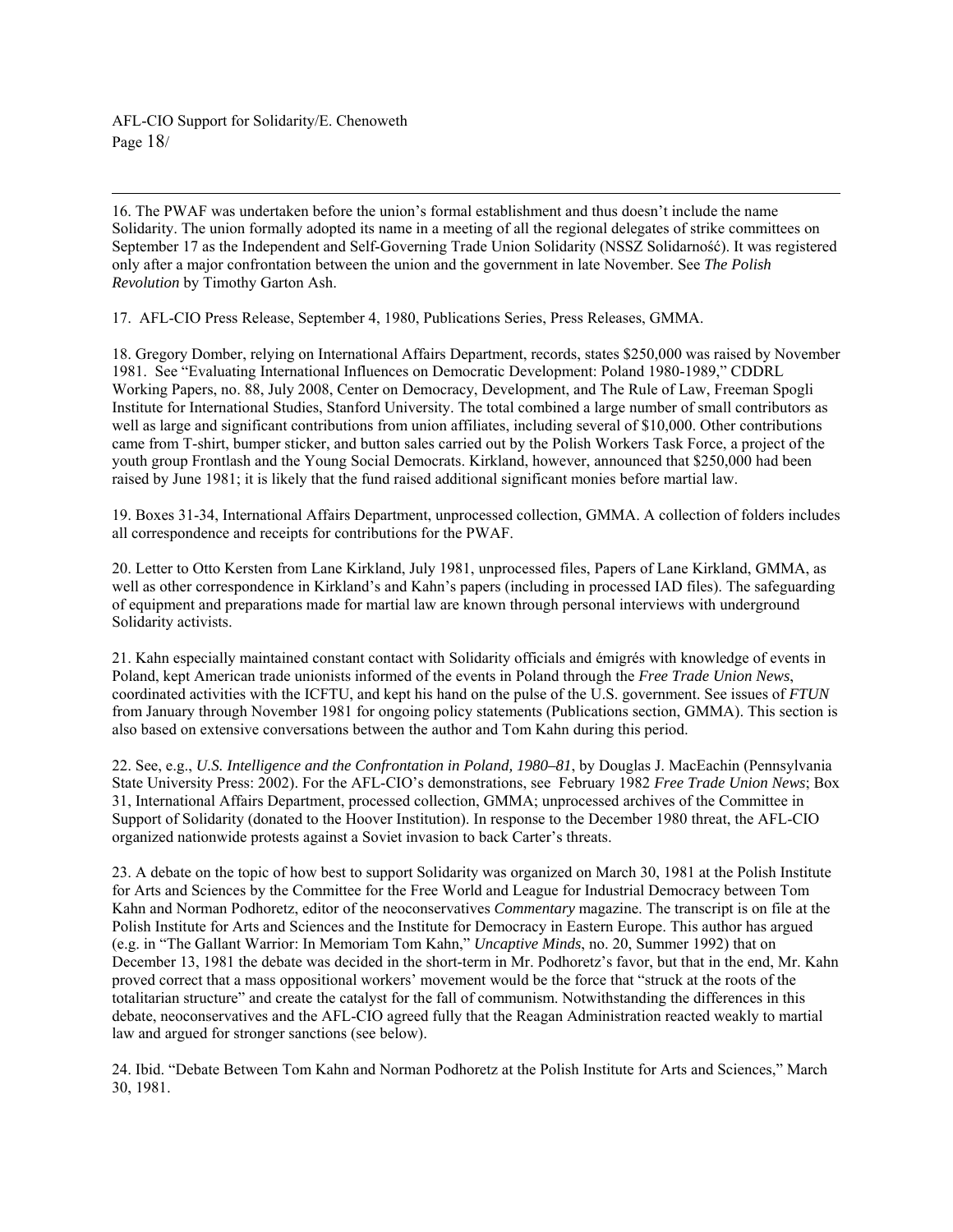AFL-CIO Support for Solidarity/E. Chenoweth Page 18/

 16. The PWAF was undertaken before the union's formal establishment and thus doesn't include the name Solidarity. The union formally adopted its name in a meeting of all the regional delegates of strike committees on September 17 as the Independent and Self-Governing Trade Union Solidarity (NSSZ Solidarność). It was registered only after a major confrontation between the union and the government in late November. See *The Polish Revolution* by Timothy Garton Ash.

17. AFL-CIO Press Release, September 4, 1980, Publications Series, Press Releases, GMMA.

18. Gregory Domber, relying on International Affairs Department, records, states \$250,000 was raised by November 1981. See "Evaluating International Influences on Democratic Development: Poland 1980-1989," CDDRL Working Papers, no. 88, July 2008, Center on Democracy, Development, and The Rule of Law, Freeman Spogli Institute for International Studies, Stanford University. The total combined a large number of small contributors as well as large and significant contributions from union affiliates, including several of \$10,000. Other contributions came from T-shirt, bumper sticker, and button sales carried out by the Polish Workers Task Force, a project of the youth group Frontlash and the Young Social Democrats. Kirkland, however, announced that \$250,000 had been raised by June 1981; it is likely that the fund raised additional significant monies before martial law.

19. Boxes 31-34, International Affairs Department, unprocessed collection, GMMA. A collection of folders includes all correspondence and receipts for contributions for the PWAF.

20. Letter to Otto Kersten from Lane Kirkland, July 1981, unprocessed files, Papers of Lane Kirkland, GMMA, as well as other correspondence in Kirkland's and Kahn's papers (including in processed IAD files). The safeguarding of equipment and preparations made for martial law are known through personal interviews with underground Solidarity activists.

21. Kahn especially maintained constant contact with Solidarity officials and émigrés with knowledge of events in Poland, kept American trade unionists informed of the events in Poland through the *Free Trade Union News*, coordinated activities with the ICFTU, and kept his hand on the pulse of the U.S. government. See issues of *FTUN* from January through November 1981 for ongoing policy statements (Publications section, GMMA). This section is also based on extensive conversations between the author and Tom Kahn during this period.

22. See, e.g., *U.S. Intelligence and the Confrontation in Poland, 1980–81*, by Douglas J. MacEachin (Pennsylvania State University Press: 2002). For the AFL-CIO's demonstrations, see February 1982 *Free Trade Union News*; Box 31, International Affairs Department, processed collection, GMMA; unprocessed archives of the Committee in Support of Solidarity (donated to the Hoover Institution). In response to the December 1980 threat, the AFL-CIO organized nationwide protests against a Soviet invasion to back Carter's threats.

23. A debate on the topic of how best to support Solidarity was organized on March 30, 1981 at the Polish Institute for Arts and Sciences by the Committee for the Free World and League for Industrial Democracy between Tom Kahn and Norman Podhoretz, editor of the neoconservatives *Commentary* magazine. The transcript is on file at the Polish Institute for Arts and Sciences and the Institute for Democracy in Eastern Europe. This author has argued (e.g. in "The Gallant Warrior: In Memoriam Tom Kahn," *Uncaptive Minds*, no. 20, Summer 1992) that on December 13, 1981 the debate was decided in the short-term in Mr. Podhoretz's favor, but that in the end, Mr. Kahn proved correct that a mass oppositional workers' movement would be the force that "struck at the roots of the totalitarian structure" and create the catalyst for the fall of communism. Notwithstanding the differences in this debate, neoconservatives and the AFL-CIO agreed fully that the Reagan Administration reacted weakly to martial law and argued for stronger sanctions (see below).

24. Ibid. "Debate Between Tom Kahn and Norman Podhoretz at the Polish Institute for Arts and Sciences," March 30, 1981.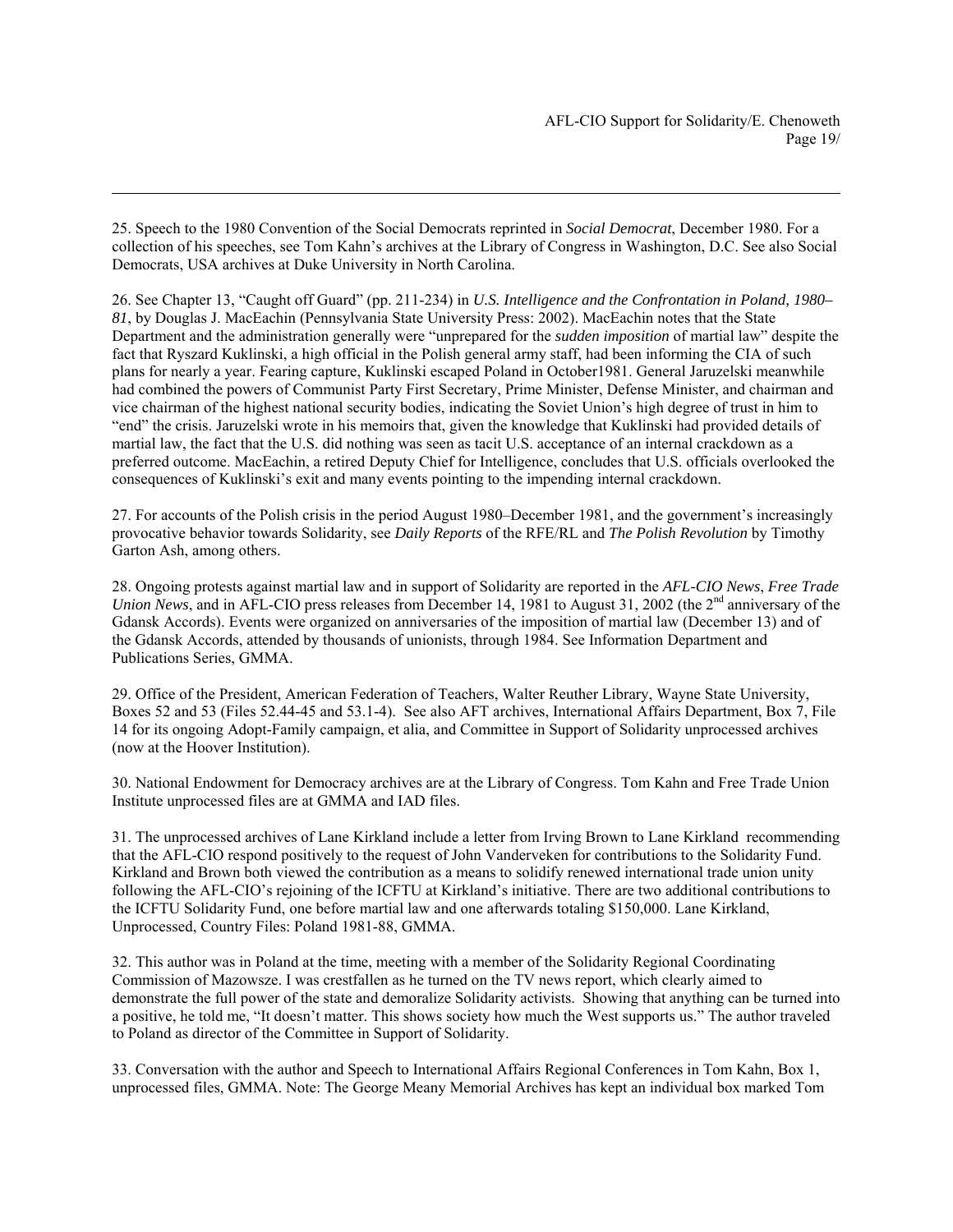25. Speech to the 1980 Convention of the Social Democrats reprinted in *Social Democrat*, December 1980. For a collection of his speeches, see Tom Kahn's archives at the Library of Congress in Washington, D.C. See also Social Democrats, USA archives at Duke University in North Carolina.

1

26. See Chapter 13, "Caught off Guard" (pp. 211-234) in *U.S. Intelligence and the Confrontation in Poland, 1980– 81*, by Douglas J. MacEachin (Pennsylvania State University Press: 2002). MacEachin notes that the State Department and the administration generally were "unprepared for the *sudden imposition* of martial law" despite the fact that Ryszard Kuklinski, a high official in the Polish general army staff, had been informing the CIA of such plans for nearly a year. Fearing capture, Kuklinski escaped Poland in October1981. General Jaruzelski meanwhile had combined the powers of Communist Party First Secretary, Prime Minister, Defense Minister, and chairman and vice chairman of the highest national security bodies, indicating the Soviet Union's high degree of trust in him to "end" the crisis. Jaruzelski wrote in his memoirs that, given the knowledge that Kuklinski had provided details of martial law, the fact that the U.S. did nothing was seen as tacit U.S. acceptance of an internal crackdown as a preferred outcome. MacEachin, a retired Deputy Chief for Intelligence, concludes that U.S. officials overlooked the consequences of Kuklinski's exit and many events pointing to the impending internal crackdown.

27. For accounts of the Polish crisis in the period August 1980–December 1981, and the government's increasingly provocative behavior towards Solidarity, see *Daily Reports* of the RFE/RL and *The Polish Revolution* by Timothy Garton Ash, among others.

28. Ongoing protests against martial law and in support of Solidarity are reported in the *AFL-CIO News*, *Free Trade Union News*, and in AFL-CIO press releases from December 14, 1981 to August 31, 2002 (the 2<sup>nd</sup> anniversary of the Gdansk Accords). Events were organized on anniversaries of the imposition of martial law (December 13) and of the Gdansk Accords, attended by thousands of unionists, through 1984. See Information Department and Publications Series, GMMA.

29. Office of the President, American Federation of Teachers, Walter Reuther Library, Wayne State University, Boxes 52 and 53 (Files 52.44-45 and 53.1-4). See also AFT archives, International Affairs Department, Box 7, File 14 for its ongoing Adopt-Family campaign, et alia, and Committee in Support of Solidarity unprocessed archives (now at the Hoover Institution).

30. National Endowment for Democracy archives are at the Library of Congress. Tom Kahn and Free Trade Union Institute unprocessed files are at GMMA and IAD files.

31. The unprocessed archives of Lane Kirkland include a letter from Irving Brown to Lane Kirkland recommending that the AFL-CIO respond positively to the request of John Vanderveken for contributions to the Solidarity Fund. Kirkland and Brown both viewed the contribution as a means to solidify renewed international trade union unity following the AFL-CIO's rejoining of the ICFTU at Kirkland's initiative. There are two additional contributions to the ICFTU Solidarity Fund, one before martial law and one afterwards totaling \$150,000. Lane Kirkland, Unprocessed, Country Files: Poland 1981-88, GMMA.

32. This author was in Poland at the time, meeting with a member of the Solidarity Regional Coordinating Commission of Mazowsze. I was crestfallen as he turned on the TV news report, which clearly aimed to demonstrate the full power of the state and demoralize Solidarity activists. Showing that anything can be turned into a positive, he told me, "It doesn't matter. This shows society how much the West supports us." The author traveled to Poland as director of the Committee in Support of Solidarity.

33. Conversation with the author and Speech to International Affairs Regional Conferences in Tom Kahn, Box 1, unprocessed files, GMMA. Note: The George Meany Memorial Archives has kept an individual box marked Tom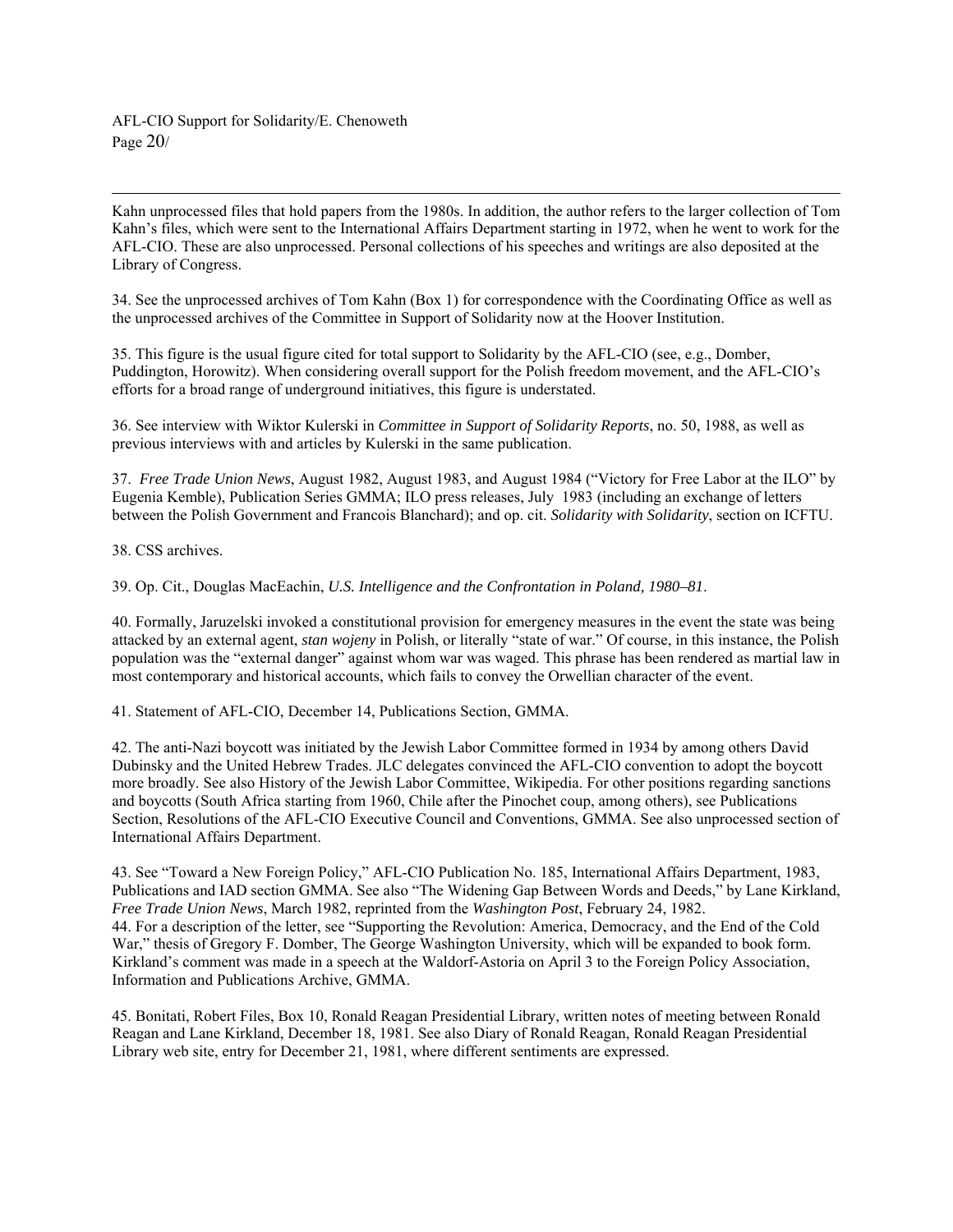AFL-CIO Support for Solidarity/E. Chenoweth Page 20/

 Kahn unprocessed files that hold papers from the 1980s. In addition, the author refers to the larger collection of Tom Kahn's files, which were sent to the International Affairs Department starting in 1972, when he went to work for the AFL-CIO. These are also unprocessed. Personal collections of his speeches and writings are also deposited at the Library of Congress.

34. See the unprocessed archives of Tom Kahn (Box 1) for correspondence with the Coordinating Office as well as the unprocessed archives of the Committee in Support of Solidarity now at the Hoover Institution.

35. This figure is the usual figure cited for total support to Solidarity by the AFL-CIO (see, e.g., Domber, Puddington, Horowitz). When considering overall support for the Polish freedom movement, and the AFL-CIO's efforts for a broad range of underground initiatives, this figure is understated.

36. See interview with Wiktor Kulerski in *Committee in Support of Solidarity Reports*, no. 50, 1988, as well as previous interviews with and articles by Kulerski in the same publication.

37. *Free Trade Union News*, August 1982, August 1983, and August 1984 ("Victory for Free Labor at the ILO" by Eugenia Kemble), Publication Series GMMA; ILO press releases, July 1983 (including an exchange of letters between the Polish Government and Francois Blanchard); and op. cit. *Solidarity with Solidarity*, section on ICFTU.

38. CSS archives.

39. Op. Cit., Douglas MacEachin, *U.S. Intelligence and the Confrontation in Poland, 1980–81*.

40. Formally, Jaruzelski invoked a constitutional provision for emergency measures in the event the state was being attacked by an external agent, *stan wojeny* in Polish, or literally "state of war." Of course, in this instance, the Polish population was the "external danger" against whom war was waged. This phrase has been rendered as martial law in most contemporary and historical accounts, which fails to convey the Orwellian character of the event.

41. Statement of AFL-CIO, December 14, Publications Section, GMMA.

42. The anti-Nazi boycott was initiated by the Jewish Labor Committee formed in 1934 by among others David Dubinsky and the United Hebrew Trades. JLC delegates convinced the AFL-CIO convention to adopt the boycott more broadly. See also History of the Jewish Labor Committee, Wikipedia. For other positions regarding sanctions and boycotts (South Africa starting from 1960, Chile after the Pinochet coup, among others), see Publications Section, Resolutions of the AFL-CIO Executive Council and Conventions, GMMA. See also unprocessed section of International Affairs Department.

43. See "Toward a New Foreign Policy," AFL-CIO Publication No. 185, International Affairs Department, 1983, Publications and IAD section GMMA. See also "The Widening Gap Between Words and Deeds," by Lane Kirkland, *Free Trade Union News*, March 1982, reprinted from the *Washington Post*, February 24, 1982. 44. For a description of the letter, see "Supporting the Revolution: America, Democracy, and the End of the Cold War," thesis of Gregory F. Domber, The George Washington University, which will be expanded to book form. Kirkland's comment was made in a speech at the Waldorf-Astoria on April 3 to the Foreign Policy Association, Information and Publications Archive, GMMA.

45. Bonitati, Robert Files, Box 10, Ronald Reagan Presidential Library, written notes of meeting between Ronald Reagan and Lane Kirkland, December 18, 1981. See also Diary of Ronald Reagan, Ronald Reagan Presidential Library web site, entry for December 21, 1981, where different sentiments are expressed.